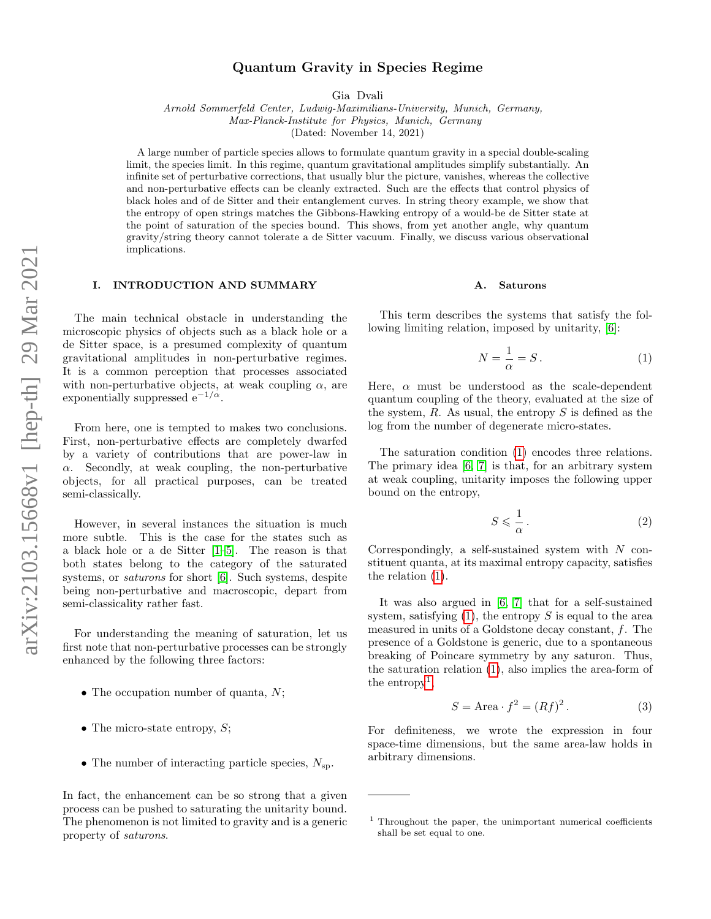# Quantum Gravity in Species Regime

Gia Dvali

Arnold Sommerfeld Center, Ludwig-Maximilians-University, Munich, Germany, Max-Planck-Institute for Physics, Munich, Germany

(Dated: November 14, 2021)

A large number of particle species allows to formulate quantum gravity in a special double-scaling limit, the species limit. In this regime, quantum gravitational amplitudes simplify substantially. An infinite set of perturbative corrections, that usually blur the picture, vanishes, whereas the collective and non-perturbative effects can be cleanly extracted. Such are the effects that control physics of black holes and of de Sitter and their entanglement curves. In string theory example, we show that the entropy of open strings matches the Gibbons-Hawking entropy of a would-be de Sitter state at the point of saturation of the species bound. This shows, from yet another angle, why quantum gravity/string theory cannot tolerate a de Sitter vacuum. Finally, we discuss various observational implications.

# I. INTRODUCTION AND SUMMARY

The main technical obstacle in understanding the microscopic physics of objects such as a black hole or a de Sitter space, is a presumed complexity of quantum gravitational amplitudes in non-perturbative regimes. It is a common perception that processes associated with non-perturbative objects, at weak coupling  $\alpha$ , are exponentially suppressed  $e^{-1/\alpha}$ .

From here, one is tempted to makes two conclusions. First, non-perturbative effects are completely dwarfed by a variety of contributions that are power-law in  $\alpha$ . Secondly, at weak coupling, the non-perturbative objects, for all practical purposes, can be treated semi-classically.

However, in several instances the situation is much more subtle. This is the case for the states such as a black hole or a de Sitter [\[1–](#page-20-0)[5\]](#page-20-1). The reason is that both states belong to the category of the saturated systems, or *saturons* for short [\[6\]](#page-20-2). Such systems, despite being non-perturbative and macroscopic, depart from semi-classicality rather fast.

For understanding the meaning of saturation, let us first note that non-perturbative processes can be strongly enhanced by the following three factors:

- The occupation number of quanta,  $N$ ;
- The micro-state entropy,  $S$ ;
- The number of interacting particle species,  $N_{\rm{sp}}$ .

In fact, the enhancement can be so strong that a given process can be pushed to saturating the unitarity bound. The phenomenon is not limited to gravity and is a generic property of saturons.

## A. Saturons

This term describes the systems that satisfy the following limiting relation, imposed by unitarity, [\[6\]](#page-20-2):

<span id="page-0-0"></span>
$$
N = \frac{1}{\alpha} = S. \tag{1}
$$

Here,  $\alpha$  must be understood as the scale-dependent quantum coupling of the theory, evaluated at the size of the system,  $R$ . As usual, the entropy  $S$  is defined as the log from the number of degenerate micro-states.

The saturation condition [\(1\)](#page-0-0) encodes three relations. The primary idea [\[6,](#page-20-2) [7\]](#page-20-3) is that, for an arbitrary system at weak coupling, unitarity imposes the following upper bound on the entropy,

<span id="page-0-3"></span>
$$
S \leqslant \frac{1}{\alpha} \,. \tag{2}
$$

Correspondingly, a self-sustained system with  $N$  constituent quanta, at its maximal entropy capacity, satisfies the relation [\(1\)](#page-0-0).

It was also argued in [\[6,](#page-20-2) [7\]](#page-20-3) that for a self-sustained system, satisfying  $(1)$ , the entropy S is equal to the area measured in units of a Goldstone decay constant, f. The presence of a Goldstone is generic, due to a spontaneous breaking of Poincare symmetry by any saturon. Thus, the saturation relation [\(1\)](#page-0-0), also implies the area-form of the entropy<sup>[1](#page-0-1)</sup>,

<span id="page-0-2"></span>
$$
S = \text{Area} \cdot f^2 = (Rf)^2. \tag{3}
$$

For definiteness, we wrote the expression in four space-time dimensions, but the same area-law holds in arbitrary dimensions.

<span id="page-0-1"></span> $1$  Throughout the paper, the unimportant numerical coefficients shall be set equal to one.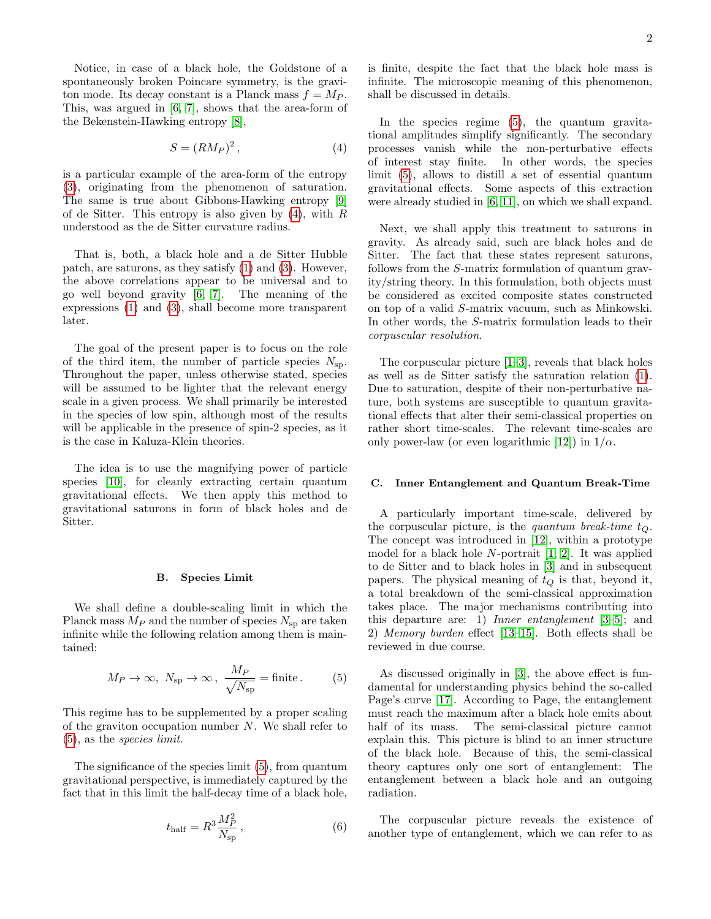Notice, in case of a black hole, the Goldstone of a spontaneously broken Poincare symmetry, is the graviton mode. Its decay constant is a Planck mass  $f = Mp$ . This, was argued in [\[6,](#page-20-2) [7\]](#page-20-3), shows that the area-form of the Bekenstein-Hawking entropy [\[8\]](#page-20-4),

<span id="page-1-0"></span>
$$
S = (RM_P)^2, \tag{4}
$$

is a particular example of the area-form of the entropy [\(3\)](#page-0-2), originating from the phenomenon of saturation. The same is true about Gibbons-Hawking entropy [\[9\]](#page-20-5) of de Sitter. This entropy is also given by  $(4)$ , with R understood as the de Sitter curvature radius.

That is, both, a black hole and a de Sitter Hubble patch, are saturons, as they satisfy [\(1\)](#page-0-0) and [\(3\)](#page-0-2). However, the above correlations appear to be universal and to go well beyond gravity [\[6,](#page-20-2) [7\]](#page-20-3). The meaning of the expressions [\(1\)](#page-0-0) and [\(3\)](#page-0-2), shall become more transparent later.

The goal of the present paper is to focus on the role of the third item, the number of particle species  $N_{\rm sp}$ . Throughout the paper, unless otherwise stated, species will be assumed to be lighter that the relevant energy scale in a given process. We shall primarily be interested in the species of low spin, although most of the results will be applicable in the presence of spin-2 species, as it is the case in Kaluza-Klein theories.

The idea is to use the magnifying power of particle species [\[10\]](#page-20-6), for cleanly extracting certain quantum gravitational effects. We then apply this method to gravitational saturons in form of black holes and de Sitter.

#### B. Species Limit

We shall define a double-scaling limit in which the Planck mass  $M_P$  and the number of species  $N_{\rm sp}$  are taken infinite while the following relation among them is maintained:

<span id="page-1-1"></span>
$$
M_P \to \infty
$$
,  $N_{\text{sp}} \to \infty$ ,  $\frac{M_P}{\sqrt{N_{\text{sp}}}}$  = finite. (5)

This regime has to be supplemented by a proper scaling of the graviton occupation number N. We shall refer to [\(5\)](#page-1-1), as the species limit.

The significance of the species limit [\(5\)](#page-1-1), from quantum gravitational perspective, is immediately captured by the fact that in this limit the half-decay time of a black hole,

<span id="page-1-2"></span>
$$
t_{\rm half} = R^3 \frac{M_P^2}{N_{\rm sp}}\,,\tag{6}
$$

is finite, despite the fact that the black hole mass is infinite. The microscopic meaning of this phenomenon, shall be discussed in details.

In the species regime [\(5\)](#page-1-1), the quantum gravitational amplitudes simplify significantly. The secondary processes vanish while the non-perturbative effects of interest stay finite. In other words, the species limit [\(5\)](#page-1-1), allows to distill a set of essential quantum gravitational effects. Some aspects of this extraction were already studied in [\[6,](#page-20-2) [11\]](#page-20-7), on which we shall expand.

Next, we shall apply this treatment to saturons in gravity. As already said, such are black holes and de Sitter. The fact that these states represent saturons, follows from the S-matrix formulation of quantum gravity/string theory. In this formulation, both objects must be considered as excited composite states constructed on top of a valid S-matrix vacuum, such as Minkowski. In other words, the S-matrix formulation leads to their corpuscular resolution.

The corpuscular picture [\[1–](#page-20-0)[3\]](#page-20-8), reveals that black holes as well as de Sitter satisfy the saturation relation [\(1\)](#page-0-0). Due to saturation, despite of their non-perturbative nature, both systems are susceptible to quantum gravitational effects that alter their semi-classical properties on rather short time-scales. The relevant time-scales are only power-law (or even logarithmic [\[12\]](#page-20-9)) in  $1/\alpha$ .

# C. Inner Entanglement and Quantum Break-Time

A particularly important time-scale, delivered by the corpuscular picture, is the *quantum break-time*  $t_{\Omega}$ . The concept was introduced in [\[12\]](#page-20-9), within a prototype model for a black hole N-portrait [\[1,](#page-20-0) [2\]](#page-20-10). It was applied to de Sitter and to black holes in [\[3\]](#page-20-8) and in subsequent papers. The physical meaning of  $t_Q$  is that, beyond it, a total breakdown of the semi-classical approximation takes place. The major mechanisms contributing into this departure are: 1) Inner entanglement [\[3](#page-20-8)[–5\]](#page-20-1); and 2) Memory burden effect [\[13](#page-20-11)[–15\]](#page-20-12). Both effects shall be reviewed in due course.

As discussed originally in [\[3\]](#page-20-8), the above effect is fundamental for understanding physics behind the so-called Page's curve [\[17\]](#page-20-13). According to Page, the entanglement must reach the maximum after a black hole emits about half of its mass. The semi-classical picture cannot explain this. This picture is blind to an inner structure of the black hole. Because of this, the semi-classical theory captures only one sort of entanglement: The entanglement between a black hole and an outgoing radiation.

The corpuscular picture reveals the existence of another type of entanglement, which we can refer to as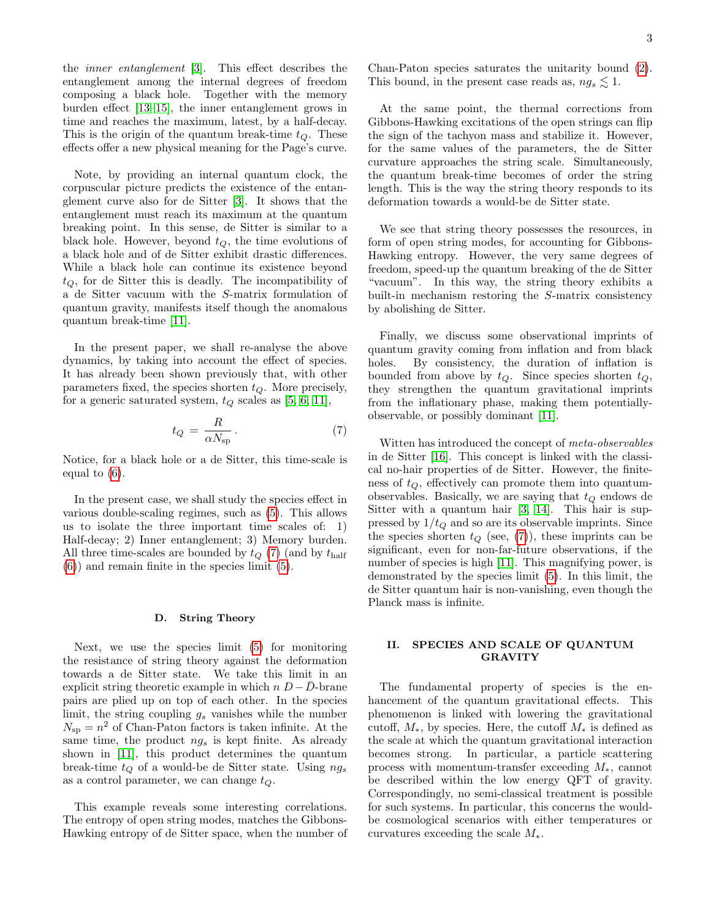the inner entanglement [\[3\]](#page-20-8). This effect describes the entanglement among the internal degrees of freedom composing a black hole. Together with the memory burden effect [\[13–](#page-20-11)[15\]](#page-20-12), the inner entanglement grows in time and reaches the maximum, latest, by a half-decay. This is the origin of the quantum break-time  $t<sub>O</sub>$ . These effects offer a new physical meaning for the Page's curve.

Note, by providing an internal quantum clock, the corpuscular picture predicts the existence of the entanglement curve also for de Sitter [\[3\]](#page-20-8). It shows that the entanglement must reach its maximum at the quantum breaking point. In this sense, de Sitter is similar to a black hole. However, beyond  $t<sub>O</sub>$ , the time evolutions of a black hole and of de Sitter exhibit drastic differences. While a black hole can continue its existence beyond  $t<sub>O</sub>$ , for de Sitter this is deadly. The incompatibility of a de Sitter vacuum with the S-matrix formulation of quantum gravity, manifests itself though the anomalous quantum break-time [\[11\]](#page-20-7).

In the present paper, we shall re-analyse the above dynamics, by taking into account the effect of species. It has already been shown previously that, with other parameters fixed, the species shorten  $t_Q$ . More precisely, for a generic saturated system,  $t_Q$  scales as [\[5,](#page-20-1) [6,](#page-20-2) [11\]](#page-20-7),

<span id="page-2-0"></span>
$$
t_Q = \frac{R}{\alpha N_{\rm sp}}.\t(7)
$$

Notice, for a black hole or a de Sitter, this time-scale is equal to [\(6\)](#page-1-2).

In the present case, we shall study the species effect in various double-scaling regimes, such as [\(5\)](#page-1-1). This allows us to isolate the three important time scales of: 1) Half-decay; 2) Inner entanglement; 3) Memory burden. All three time-scales are bounded by  $t_Q$  [\(7\)](#page-2-0) (and by  $t_{\text{half}}$ [\(6\)](#page-1-2)) and remain finite in the species limit [\(5\)](#page-1-1).

### D. String Theory

Next, we use the species limit [\(5\)](#page-1-1) for monitoring the resistance of string theory against the deformation towards a de Sitter state. We take this limit in an explicit string theoretic example in which  $n D - \overline{D}$ -brane pairs are plied up on top of each other. In the species limit, the string coupling  $g_s$  vanishes while the number  $N_{\rm sp} = n^2$  of Chan-Paton factors is taken infinite. At the same time, the product  $ng_s$  is kept finite. As already shown in [\[11\]](#page-20-7), this product determines the quantum break-time  $t_Q$  of a would-be de Sitter state. Using  $ng_s$ as a control parameter, we can change  $t_Q$ .

This example reveals some interesting correlations. The entropy of open string modes, matches the Gibbons-Hawking entropy of de Sitter space, when the number of Chan-Paton species saturates the unitarity bound [\(2\)](#page-0-3). This bound, in the present case reads as,  $ng_s \lesssim 1$ .

At the same point, the thermal corrections from Gibbons-Hawking excitations of the open strings can flip the sign of the tachyon mass and stabilize it. However, for the same values of the parameters, the de Sitter curvature approaches the string scale. Simultaneously, the quantum break-time becomes of order the string length. This is the way the string theory responds to its deformation towards a would-be de Sitter state.

We see that string theory possesses the resources, in form of open string modes, for accounting for Gibbons-Hawking entropy. However, the very same degrees of freedom, speed-up the quantum breaking of the de Sitter "vacuum". In this way, the string theory exhibits a built-in mechanism restoring the S-matrix consistency by abolishing de Sitter.

Finally, we discuss some observational imprints of quantum gravity coming from inflation and from black holes. By consistency, the duration of inflation is bounded from above by  $t<sub>O</sub>$ . Since species shorten  $t<sub>O</sub>$ , they strengthen the quantum gravitational imprints from the inflationary phase, making them potentiallyobservable, or possibly dominant [\[11\]](#page-20-7).

Witten has introduced the concept of meta-observables in de Sitter [\[16\]](#page-20-14). This concept is linked with the classical no-hair properties of de Sitter. However, the finiteness of  $t_Q$ , effectively can promote them into quantumobservables. Basically, we are saying that  $t_Q$  endows de Sitter with a quantum hair [\[3,](#page-20-8) [14\]](#page-20-15). This hair is suppressed by  $1/t_Q$  and so are its observable imprints. Since the species shorten  $t_Q$  (see, [\(7\)](#page-2-0)), these imprints can be significant, even for non-far-future observations, if the number of species is high [\[11\]](#page-20-7). This magnifying power, is demonstrated by the species limit [\(5\)](#page-1-1). In this limit, the de Sitter quantum hair is non-vanishing, even though the Planck mass is infinite.

# II. SPECIES AND SCALE OF QUANTUM GRAVITY

The fundamental property of species is the enhancement of the quantum gravitational effects. This phenomenon is linked with lowering the gravitational cutoff,  $M_*$ , by species. Here, the cutoff  $M_*$  is defined as the scale at which the quantum gravitational interaction becomes strong. In particular, a particle scattering process with momentum-transfer exceeding  $M_*$ , cannot be described within the low energy QFT of gravity. Correspondingly, no semi-classical treatment is possible for such systems. In particular, this concerns the wouldbe cosmological scenarios with either temperatures or curvatures exceeding the scale  $M_*$ .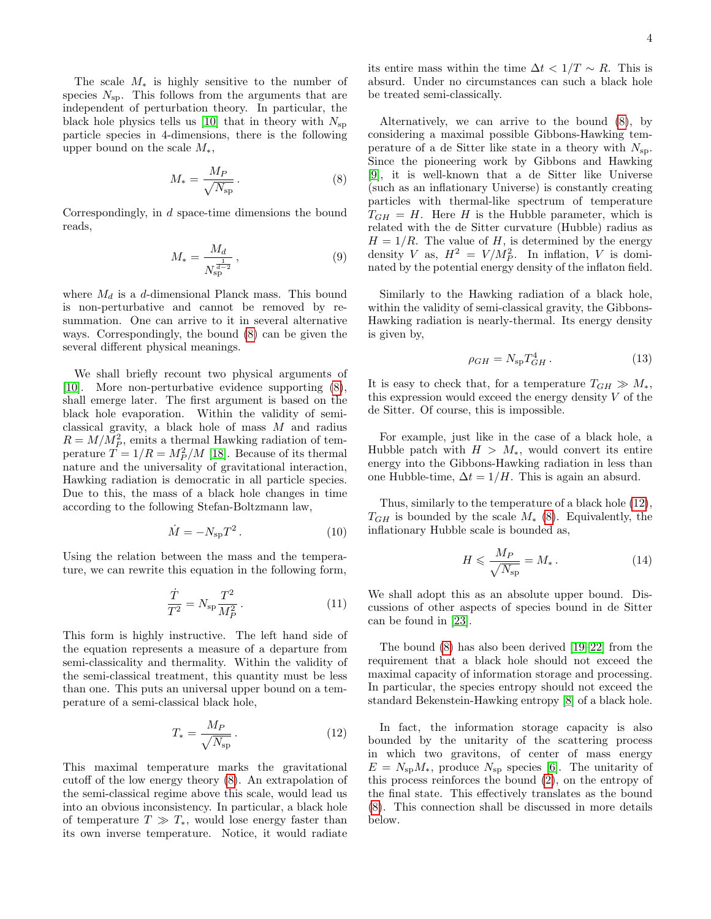The scale  $M_*$  is highly sensitive to the number of species  $N_{\rm sp}$ . This follows from the arguments that are independent of perturbation theory. In particular, the black hole physics tells us [\[10\]](#page-20-6) that in theory with  $N_{\rm{sp}}$ particle species in 4-dimensions, there is the following upper bound on the scale  $M_*$ ,

<span id="page-3-0"></span>
$$
M_* = \frac{M_P}{\sqrt{N_{\rm sp}}}.
$$
\n(8)

Correspondingly, in d space-time dimensions the bound reads,

$$
M_* = \frac{M_d}{N_{\rm sp}^{\frac{1}{d-2}}},\tag{9}
$$

where  $M_d$  is a d-dimensional Planck mass. This bound is non-perturbative and cannot be removed by resummation. One can arrive to it in several alternative ways. Correspondingly, the bound [\(8\)](#page-3-0) can be given the several different physical meanings.

We shall briefly recount two physical arguments of [\[10\]](#page-20-6). More non-perturbative evidence supporting [\(8\)](#page-3-0), shall emerge later. The first argument is based on the black hole evaporation. Within the validity of semiclassical gravity, a black hole of mass M and radius  $R = M/M_P^2$ , emits a thermal Hawking radiation of temperature  $\hat{T} = 1/R = M_P^2/M$  [\[18\]](#page-20-16). Because of its thermal nature and the universality of gravitational interaction, Hawking radiation is democratic in all particle species. Due to this, the mass of a black hole changes in time according to the following Stefan-Boltzmann law,

$$
\dot{M} = -N_{\rm sp}T^2. \tag{10}
$$

Using the relation between the mass and the temperature, we can rewrite this equation in the following form,

$$
\frac{\dot{T}}{T^2} = N_{\rm sp} \frac{T^2}{M_P^2} \,. \tag{11}
$$

This form is highly instructive. The left hand side of the equation represents a measure of a departure from semi-classicality and thermality. Within the validity of the semi-classical treatment, this quantity must be less than one. This puts an universal upper bound on a temperature of a semi-classical black hole,

<span id="page-3-1"></span>
$$
T_* = \frac{M_P}{\sqrt{N_{\rm sp}}} \,. \tag{12}
$$

This maximal temperature marks the gravitational cutoff of the low energy theory [\(8\)](#page-3-0). An extrapolation of the semi-classical regime above this scale, would lead us into an obvious inconsistency. In particular, a black hole of temperature  $T \gg T_*$ , would lose energy faster than its own inverse temperature. Notice, it would radiate its entire mass within the time  $\Delta t < 1/T \sim R$ . This is absurd. Under no circumstances can such a black hole be treated semi-classically.

Alternatively, we can arrive to the bound [\(8\)](#page-3-0), by considering a maximal possible Gibbons-Hawking temperature of a de Sitter like state in a theory with  $N_{\rm sn}$ . Since the pioneering work by Gibbons and Hawking [\[9\]](#page-20-5), it is well-known that a de Sitter like Universe (such as an inflationary Universe) is constantly creating particles with thermal-like spectrum of temperature  $T_{GH} = H$ . Here H is the Hubble parameter, which is related with the de Sitter curvature (Hubble) radius as  $H = 1/R$ . The value of H, is determined by the energy density V as,  $H^2 = V/M_P^2$ . In inflation, V is dominated by the potential energy density of the inflaton field.

Similarly to the Hawking radiation of a black hole, within the validity of semi-classical gravity, the Gibbons-Hawking radiation is nearly-thermal. Its energy density is given by,

$$
\rho_{GH} = N_{\rm sp} T_{GH}^4 \,. \tag{13}
$$

It is easy to check that, for a temperature  $T_{GH} \gg M_*$ , this expression would exceed the energy density  $V$  of the de Sitter. Of course, this is impossible.

For example, just like in the case of a black hole, a Hubble patch with  $H > M_*$ , would convert its entire energy into the Gibbons-Hawking radiation in less than one Hubble-time,  $\Delta t = 1/H$ . This is again an absurd.

Thus, similarly to the temperature of a black hole [\(12\)](#page-3-1),  $T_{GH}$  is bounded by the scale  $M_*$  [\(8\)](#page-3-0). Equivalently, the inflationary Hubble scale is bounded as,

<span id="page-3-2"></span>
$$
H \leqslant \frac{M_P}{\sqrt{N_{\rm sp}}} = M_* \,. \tag{14}
$$

We shall adopt this as an absolute upper bound. Discussions of other aspects of species bound in de Sitter can be found in [\[23\]](#page-21-0).

The bound [\(8\)](#page-3-0) has also been derived [\[19–](#page-21-1)[22\]](#page-21-2) from the requirement that a black hole should not exceed the maximal capacity of information storage and processing. In particular, the species entropy should not exceed the standard Bekenstein-Hawking entropy [\[8\]](#page-20-4) of a black hole.

In fact, the information storage capacity is also bounded by the unitarity of the scattering process in which two gravitons, of center of mass energy  $E = N_{\rm sp} M_*$ , produce  $N_{\rm sp}$  species [\[6\]](#page-20-2). The unitarity of this process reinforces the bound [\(2\)](#page-0-3), on the entropy of the final state. This effectively translates as the bound [\(8\)](#page-3-0). This connection shall be discussed in more details below.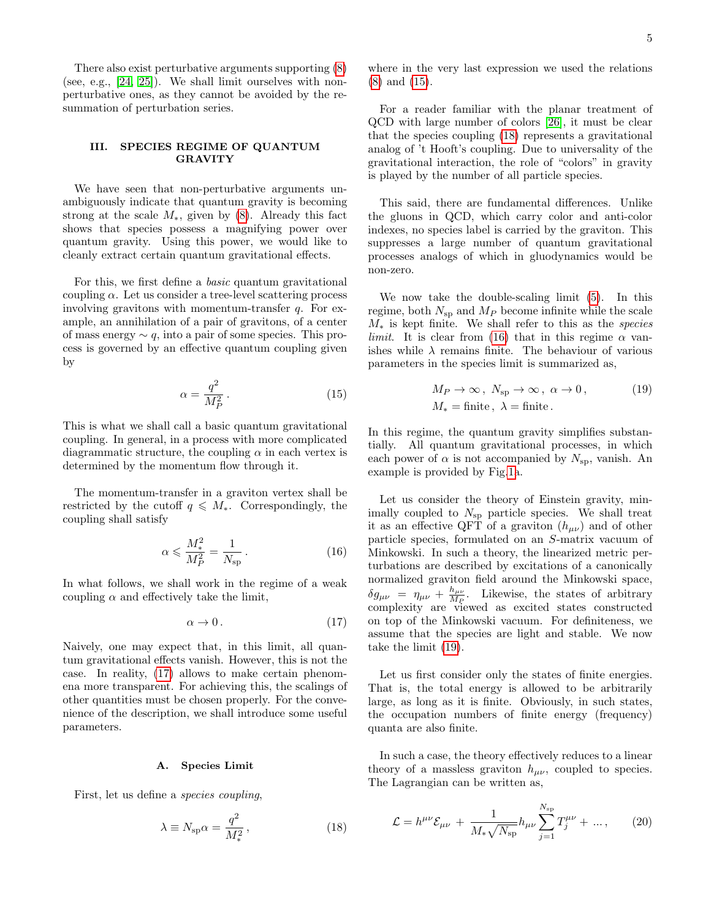There also exist perturbative arguments supporting [\(8\)](#page-3-0) (see, e.g., [\[24,](#page-21-3) [25\]](#page-21-4)). We shall limit ourselves with nonperturbative ones, as they cannot be avoided by the resummation of perturbation series.

# III. SPECIES REGIME OF QUANTUM GRAVITY

We have seen that non-perturbative arguments unambiguously indicate that quantum gravity is becoming strong at the scale  $M_*$ , given by [\(8\)](#page-3-0). Already this fact shows that species possess a magnifying power over quantum gravity. Using this power, we would like to cleanly extract certain quantum gravitational effects.

For this, we first define a basic quantum gravitational coupling  $\alpha$ . Let us consider a tree-level scattering process involving gravitons with momentum-transfer  $q$ . For example, an annihilation of a pair of gravitons, of a center of mass energy  $\sim q$ , into a pair of some species. This process is governed by an effective quantum coupling given by

<span id="page-4-1"></span>
$$
\alpha = \frac{q^2}{M_P^2} \,. \tag{15}
$$

This is what we shall call a basic quantum gravitational coupling. In general, in a process with more complicated diagrammatic structure, the coupling  $\alpha$  in each vertex is determined by the momentum flow through it.

The momentum-transfer in a graviton vertex shall be restricted by the cutoff  $q \leq M_*$ . Correspondingly, the coupling shall satisfy

<span id="page-4-3"></span>
$$
\alpha \leqslant \frac{M_*^2}{M_P^2} = \frac{1}{N_{\rm sp}}\,. \tag{16}
$$

In what follows, we shall work in the regime of a weak coupling  $\alpha$  and effectively take the limit,

<span id="page-4-0"></span>
$$
\alpha \to 0. \tag{17}
$$

Naively, one may expect that, in this limit, all quantum gravitational effects vanish. However, this is not the case. In reality, [\(17\)](#page-4-0) allows to make certain phenomena more transparent. For achieving this, the scalings of other quantities must be chosen properly. For the convenience of the description, we shall introduce some useful parameters.

# <span id="page-4-6"></span>A. Species Limit

First, let us define a species coupling,

<span id="page-4-2"></span>
$$
\lambda \equiv N_{\rm sp} \alpha = \frac{q^2}{M_*^2},\qquad(18)
$$

where in the very last expression we used the relations [\(8\)](#page-3-0) and [\(15\)](#page-4-1).

For a reader familiar with the planar treatment of QCD with large number of colors [\[26\]](#page-21-5), it must be clear that the species coupling [\(18\)](#page-4-2) represents a gravitational analog of 't Hooft's coupling. Due to universality of the gravitational interaction, the role of "colors" in gravity is played by the number of all particle species.

This said, there are fundamental differences. Unlike the gluons in QCD, which carry color and anti-color indexes, no species label is carried by the graviton. This suppresses a large number of quantum gravitational processes analogs of which in gluodynamics would be non-zero.

We now take the double-scaling limit [\(5\)](#page-1-1). In this regime, both  $N_{\rm sp}$  and  $M_P$  become infinite while the scale  $M_*$  is kept finite. We shall refer to this as the species *limit*. It is clear from [\(16\)](#page-4-3) that in this regime  $\alpha$  vanishes while  $\lambda$  remains finite. The behaviour of various parameters in the species limit is summarized as,

<span id="page-4-4"></span>
$$
M_P \to \infty, N_{sp} \to \infty, \alpha \to 0,
$$
 (19)  

$$
M_* = \text{finite}, \lambda = \text{finite}.
$$

In this regime, the quantum gravity simplifies substantially. All quantum gravitational processes, in which each power of  $\alpha$  is not accompanied by  $N_{\rm sp}$ , vanish. An example is provided by Fig[.1a](#page-5-0).

Let us consider the theory of Einstein gravity, minimally coupled to  $N_{\rm sp}$  particle species. We shall treat it as an effective QFT of a graviton  $(h_{\mu\nu})$  and of other particle species, formulated on an S-matrix vacuum of Minkowski. In such a theory, the linearized metric perturbations are described by excitations of a canonically normalized graviton field around the Minkowski space,  $\delta g_{\mu\nu}$  =  $\eta_{\mu\nu}$  +  $\frac{h_{\mu\nu}}{M_P}$  $\frac{n_{\mu\nu}}{M_P}$ . Likewise, the states of arbitrary complexity are viewed as excited states constructed on top of the Minkowski vacuum. For definiteness, we assume that the species are light and stable. We now take the limit [\(19\)](#page-4-4).

Let us first consider only the states of finite energies. That is, the total energy is allowed to be arbitrarily large, as long as it is finite. Obviously, in such states, the occupation numbers of finite energy (frequency) quanta are also finite.

In such a case, the theory effectively reduces to a linear theory of a massless graviton  $h_{\mu\nu}$ , coupled to species. The Lagrangian can be written as,

<span id="page-4-5"></span>
$$
\mathcal{L} = h^{\mu\nu} \mathcal{E}_{\mu\nu} + \frac{1}{M_* \sqrt{N_{\rm sp}}} h_{\mu\nu} \sum_{j=1}^{N_{\rm sp}} T_j^{\mu\nu} + \dots, \qquad (20)
$$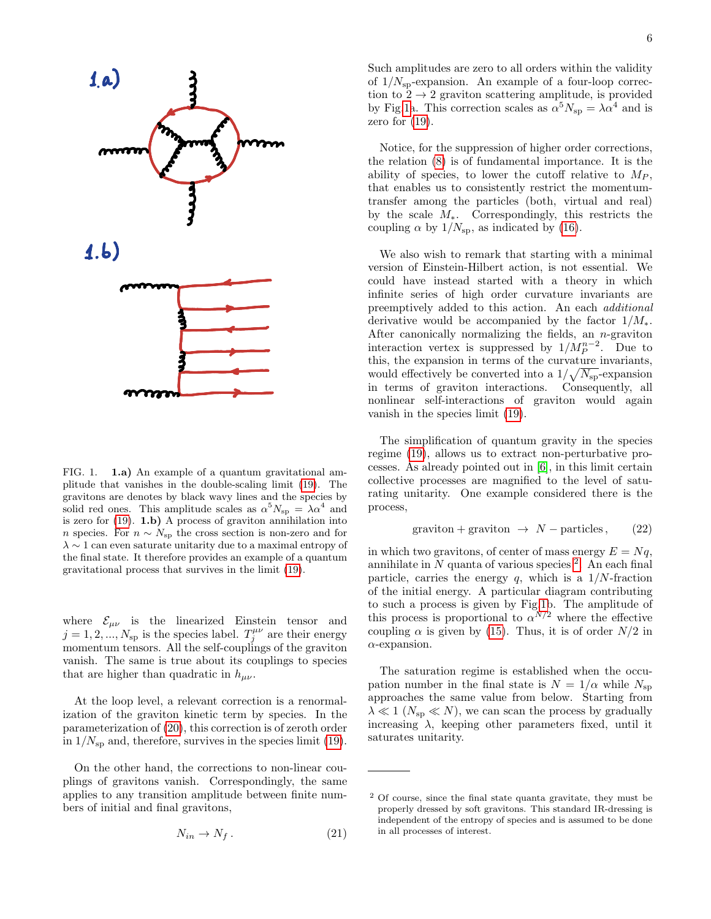

<span id="page-5-0"></span>FIG. 1. 1.a) An example of a quantum gravitational amplitude that vanishes in the double-scaling limit [\(19\)](#page-4-4). The gravitons are denotes by black wavy lines and the species by solid red ones. This amplitude scales as  $\alpha^5 N_{\rm sp} = \lambda \alpha^4$  and is zero for  $(19)$ . **1.b)** A process of graviton annihilation into n species. For  $n \sim N_{\rm sp}$  the cross section is non-zero and for  $\lambda \sim 1$  can even saturate unitarity due to a maximal entropy of the final state. It therefore provides an example of a quantum gravitational process that survives in the limit [\(19\)](#page-4-4).

where  $\mathcal{E}_{\mu\nu}$  is the linearized Einstein tensor and  $j = 1, 2, ..., N_{sp}$  is the species label.  $T_j^{\mu\nu}$  are their energy momentum tensors. All the self-couplings of the graviton vanish. The same is true about its couplings to species that are higher than quadratic in  $h_{\mu\nu}$ .

At the loop level, a relevant correction is a renormalization of the graviton kinetic term by species. In the parameterization of [\(20\)](#page-4-5), this correction is of zeroth order in  $1/N_{\rm SD}$  and, therefore, survives in the species limit [\(19\)](#page-4-4).

On the other hand, the corrections to non-linear couplings of gravitons vanish. Correspondingly, the same applies to any transition amplitude between finite numbers of initial and final gravitons,

$$
N_{in} \to N_f. \tag{21}
$$

Such amplitudes are zero to all orders within the validity of  $1/N_{\rm SD}$ -expansion. An example of a four-loop correction to  $2 \rightarrow 2$  graviton scattering amplitude, is provided by Fig[.1a](#page-5-0). This correction scales as  $\alpha^5 N_{\rm sp} = \lambda \alpha^4$  and is zero for  $(19)$ .

Notice, for the suppression of higher order corrections, the relation [\(8\)](#page-3-0) is of fundamental importance. It is the ability of species, to lower the cutoff relative to  $M_P$ , that enables us to consistently restrict the momentumtransfer among the particles (both, virtual and real) by the scale  $M_*$ . Correspondingly, this restricts the coupling  $\alpha$  by  $1/N_{\rm sp}$ , as indicated by [\(16\)](#page-4-3).

We also wish to remark that starting with a minimal version of Einstein-Hilbert action, is not essential. We could have instead started with a theory in which infinite series of high order curvature invariants are preemptively added to this action. An each additional derivative would be accompanied by the factor  $1/M_*$ . After canonically normalizing the fields, an n-graviton interaction vertex is suppressed by  $1/M_P^{n-2}$ . Due to this, the expansion in terms of the curvature invariants, would effectively be converted into a  $1/\sqrt{N_{\rm sp}}$ -expansion in terms of graviton interactions. Consequently, all nonlinear self-interactions of graviton would again vanish in the species limit [\(19\)](#page-4-4).

The simplification of quantum gravity in the species regime [\(19\)](#page-4-4), allows us to extract non-perturbative processes. As already pointed out in [\[6\]](#page-20-2), in this limit certain collective processes are magnified to the level of saturating unitarity. One example considered there is the process,

<span id="page-5-2"></span>
$$
graviton + graviton \rightarrow N - particles, \qquad (22)
$$

in which two gravitons, of center of mass energy  $E = Nq$ , annihilate in  $N$  quanta of various species  $2$ . An each final particle, carries the energy  $q$ , which is a  $1/N$ -fraction of the initial energy. A particular diagram contributing to such a process is given by Fig[.1b](#page-5-0). The amplitude of this process is proportional to  $\alpha^{N/2}$  where the effective coupling  $\alpha$  is given by [\(15\)](#page-4-1). Thus, it is of order  $N/2$  in  $\alpha$ -expansion.

The saturation regime is established when the occupation number in the final state is  $N = 1/\alpha$  while  $N_{\rm sp}$ approaches the same value from below. Starting from  $\lambda \ll 1$  ( $N_{\rm sp} \ll N$ ), we can scan the process by gradually increasing  $\lambda$ , keeping other parameters fixed, until it saturates unitarity.

<span id="page-5-1"></span><sup>2</sup> Of course, since the final state quanta gravitate, they must be properly dressed by soft gravitons. This standard IR-dressing is independent of the entropy of species and is assumed to be done in all processes of interest.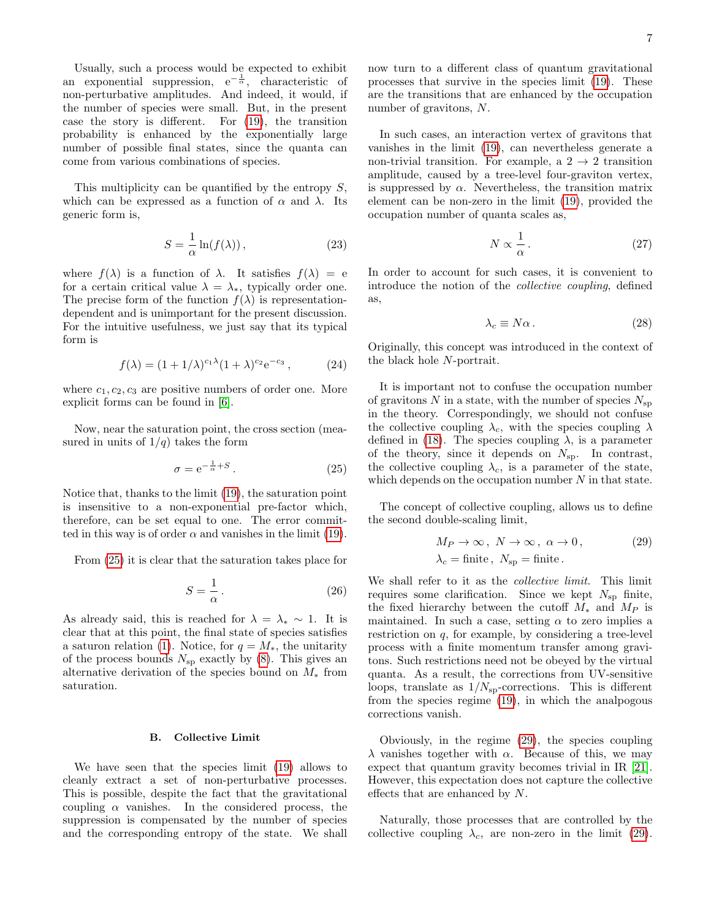Usually, such a process would be expected to exhibit an exponential suppression,  $e^{-\frac{1}{\alpha}}$ , characteristic of non-perturbative amplitudes. And indeed, it would, if the number of species were small. But, in the present case the story is different. For [\(19\)](#page-4-4), the transition probability is enhanced by the exponentially large number of possible final states, since the quanta can come from various combinations of species.

This multiplicity can be quantified by the entropy  $S$ , which can be expressed as a function of  $\alpha$  and  $\lambda$ . Its generic form is,

$$
S = \frac{1}{\alpha} \ln(f(\lambda)),\tag{23}
$$

where  $f(\lambda)$  is a function of  $\lambda$ . It satisfies  $f(\lambda) = e$ for a certain critical value  $\lambda = \lambda_*$ , typically order one. The precise form of the function  $f(\lambda)$  is representationdependent and is unimportant for the present discussion. For the intuitive usefulness, we just say that its typical form is

$$
f(\lambda) = (1 + 1/\lambda)^{c_1 \lambda} (1 + \lambda)^{c_2} e^{-c_3}, \qquad (24)
$$

where  $c_1, c_2, c_3$  are positive numbers of order one. More explicit forms can be found in [\[6\]](#page-20-2).

Now, near the saturation point, the cross section (measured in units of  $1/q$  takes the form

<span id="page-6-0"></span>
$$
\sigma = e^{-\frac{1}{\alpha} + S}.
$$
 (25)

Notice that, thanks to the limit [\(19\)](#page-4-4), the saturation point is insensitive to a non-exponential pre-factor which, therefore, can be set equal to one. The error committed in this way is of order  $\alpha$  and vanishes in the limit [\(19\)](#page-4-4).

From [\(25\)](#page-6-0) it is clear that the saturation takes place for

$$
S = \frac{1}{\alpha} \,. \tag{26}
$$

As already said, this is reached for  $\lambda = \lambda_* \sim 1$ . It is clear that at this point, the final state of species satisfies a saturon relation [\(1\)](#page-0-0). Notice, for  $q = M_*$ , the unitarity of the process bounds  $N_{\rm sp}$  exactly by [\(8\)](#page-3-0). This gives an alternative derivation of the species bound on  $M_*$  from saturation.

## B. Collective Limit

We have seen that the species limit [\(19\)](#page-4-4) allows to cleanly extract a set of non-perturbative processes. This is possible, despite the fact that the gravitational coupling  $\alpha$  vanishes. In the considered process, the suppression is compensated by the number of species and the corresponding entropy of the state. We shall

now turn to a different class of quantum gravitational processes that survive in the species limit [\(19\)](#page-4-4). These are the transitions that are enhanced by the occupation number of gravitons, N.

In such cases, an interaction vertex of gravitons that vanishes in the limit [\(19\)](#page-4-4), can nevertheless generate a non-trivial transition. For example, a  $2 \rightarrow 2$  transition amplitude, caused by a tree-level four-graviton vertex, is suppressed by  $\alpha$ . Nevertheless, the transition matrix element can be non-zero in the limit [\(19\)](#page-4-4), provided the occupation number of quanta scales as,

$$
N \propto \frac{1}{\alpha} \,. \tag{27}
$$

In order to account for such cases, it is convenient to introduce the notion of the collective coupling, defined as,

$$
\lambda_c \equiv N\alpha. \tag{28}
$$

Originally, this concept was introduced in the context of the black hole N-portrait.

It is important not to confuse the occupation number of gravitons N in a state, with the number of species  $N_{\rm{sp}}$ in the theory. Correspondingly, we should not confuse the collective coupling  $\lambda_c$ , with the species coupling  $\lambda$ defined in [\(18\)](#page-4-2). The species coupling  $\lambda$ , is a parameter of the theory, since it depends on  $N_{\rm sp}$ . In contrast, the collective coupling  $\lambda_c$ , is a parameter of the state, which depends on the occupation number  $N$  in that state.

The concept of collective coupling, allows us to define the second double-scaling limit,

<span id="page-6-1"></span>
$$
M_P \to \infty, N \to \infty, \alpha \to 0,
$$
  
\n
$$
\lambda_c = \text{finite}, N_{\text{sp}} = \text{finite}.
$$
\n(29)

We shall refer to it as the collective limit. This limit requires some clarification. Since we kept  $N_{\rm SD}$  finite, the fixed hierarchy between the cutoff  $M_*$  and  $M_P$  is maintained. In such a case, setting  $\alpha$  to zero implies a restriction on q, for example, by considering a tree-level process with a finite momentum transfer among gravitons. Such restrictions need not be obeyed by the virtual quanta. As a result, the corrections from UV-sensitive loops, translate as  $1/N_{\rm sp}\text{-} \text{corrections.}$  This is different from the species regime [\(19\)](#page-4-4), in which the analpogous corrections vanish.

Obviously, in the regime [\(29\)](#page-6-1), the species coupling λ vanishes together with α. Because of this, we may expect that quantum gravity becomes trivial in IR [\[21\]](#page-21-6). However, this expectation does not capture the collective effects that are enhanced by N.

Naturally, those processes that are controlled by the collective coupling  $\lambda_c$ , are non-zero in the limit [\(29\)](#page-6-1).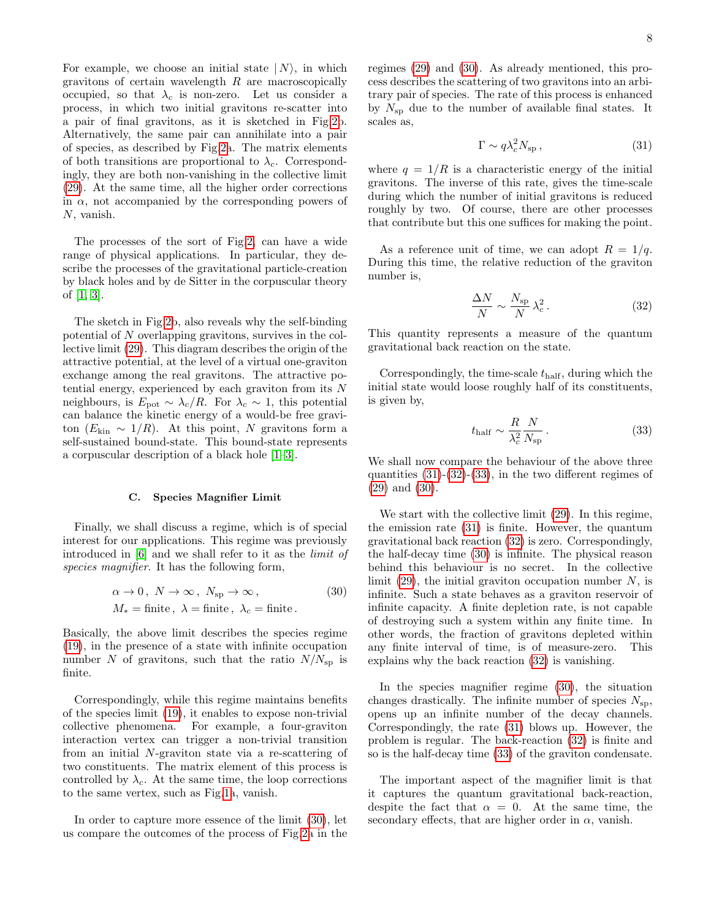For example, we choose an initial state  $|N\rangle$ , in which gravitons of certain wavelength  $R$  are macroscopically occupied, so that  $\lambda_c$  is non-zero. Let us consider a process, in which two initial gravitons re-scatter into a pair of final gravitons, as it is sketched in Fig[.2b](#page-12-0). Alternatively, the same pair can annihilate into a pair of species, as described by Fig[.2a](#page-12-0). The matrix elements of both transitions are proportional to  $\lambda_c$ . Correspondingly, they are both non-vanishing in the collective limit [\(29\)](#page-6-1). At the same time, all the higher order corrections in  $\alpha$ , not accompanied by the corresponding powers of N, vanish.

The processes of the sort of Fig[.2,](#page-12-0) can have a wide range of physical applications. In particular, they describe the processes of the gravitational particle-creation by black holes and by de Sitter in the corpuscular theory of [\[1,](#page-20-0) [3\]](#page-20-8).

The sketch in Fig[.2b](#page-12-0), also reveals why the self-binding potential of N overlapping gravitons, survives in the collective limit [\(29\)](#page-6-1). This diagram describes the origin of the attractive potential, at the level of a virtual one-graviton exchange among the real gravitons. The attractive potential energy, experienced by each graviton from its N neighbours, is  $E_{\text{pot}} \sim \lambda_c/R$ . For  $\lambda_c \sim 1$ , this potential can balance the kinetic energy of a would-be free graviton ( $E_{kin} \sim 1/R$ ). At this point, N gravitons form a self-sustained bound-state. This bound-state represents a corpuscular description of a black hole [\[1–](#page-20-0)[3\]](#page-20-8).

## C. Species Magnifier Limit

Finally, we shall discuss a regime, which is of special interest for our applications. This regime was previously introduced in [\[6\]](#page-20-2) and we shall refer to it as the limit of species magnifier. It has the following form,

<span id="page-7-0"></span>
$$
\alpha \to 0, N \to \infty, N_{\rm sp} \to \infty,
$$
  
(30)  

$$
M_* = \text{finite}, \lambda = \text{finite}, \lambda_c = \text{finite}.
$$

Basically, the above limit describes the species regime [\(19\)](#page-4-4), in the presence of a state with infinite occupation number N of gravitons, such that the ratio  $N/N_{\rm sp}$  is finite.

Correspondingly, while this regime maintains benefits of the species limit [\(19\)](#page-4-4), it enables to expose non-trivial collective phenomena. For example, a four-graviton interaction vertex can trigger a non-trivial transition from an initial N-graviton state via a re-scattering of two constituents. The matrix element of this process is controlled by  $\lambda_c$ . At the same time, the loop corrections to the same vertex, such as Fig[.1a](#page-5-0), vanish.

In order to capture more essence of the limit [\(30\)](#page-7-0), let us compare the outcomes of the process of Fig[.2a](#page-12-0) in the regimes [\(29\)](#page-6-1) and [\(30\)](#page-7-0). As already mentioned, this process describes the scattering of two gravitons into an arbitrary pair of species. The rate of this process is enhanced by  $N_{\rm sp}$  due to the number of available final states. It scales as,

<span id="page-7-1"></span>
$$
\Gamma \sim q \lambda_c^2 N_{\rm sp} \,, \tag{31}
$$

where  $q = 1/R$  is a characteristic energy of the initial gravitons. The inverse of this rate, gives the time-scale during which the number of initial gravitons is reduced roughly by two. Of course, there are other processes that contribute but this one suffices for making the point.

As a reference unit of time, we can adopt  $R = 1/q$ . During this time, the relative reduction of the graviton number is,

<span id="page-7-2"></span>
$$
\frac{\Delta N}{N} \sim \frac{N_{\rm sp}}{N} \lambda_c^2. \tag{32}
$$

This quantity represents a measure of the quantum gravitational back reaction on the state.

Correspondingly, the time-scale  $t_{\text{half}}$ , during which the initial state would loose roughly half of its constituents, is given by,

<span id="page-7-3"></span>
$$
t_{\rm half} \sim \frac{R}{\lambda_c^2} \frac{N}{N_{\rm sp}}.\tag{33}
$$

We shall now compare the behaviour of the above three quantities  $(31)-(32)-(33)$  $(31)-(32)-(33)$  $(31)-(32)-(33)$  $(31)-(32)-(33)$ , in the two different regimes of [\(29\)](#page-6-1) and [\(30\)](#page-7-0).

We start with the collective limit [\(29\)](#page-6-1). In this regime, the emission rate [\(31\)](#page-7-1) is finite. However, the quantum gravitational back reaction [\(32\)](#page-7-2) is zero. Correspondingly, the half-decay time [\(30\)](#page-7-0) is infinite. The physical reason behind this behaviour is no secret. In the collective limit  $(29)$ , the initial graviton occupation number N, is infinite. Such a state behaves as a graviton reservoir of infinite capacity. A finite depletion rate, is not capable of destroying such a system within any finite time. In other words, the fraction of gravitons depleted within any finite interval of time, is of measure-zero. This explains why the back reaction [\(32\)](#page-7-2) is vanishing.

In the species magnifier regime [\(30\)](#page-7-0), the situation changes drastically. The infinite number of species  $N_{\rm{sn}}$ , opens up an infinite number of the decay channels. Correspondingly, the rate [\(31\)](#page-7-1) blows up. However, the problem is regular. The back-reaction [\(32\)](#page-7-2) is finite and so is the half-decay time [\(33\)](#page-7-3) of the graviton condensate.

The important aspect of the magnifier limit is that it captures the quantum gravitational back-reaction, despite the fact that  $\alpha = 0$ . At the same time, the secondary effects, that are higher order in  $\alpha$ , vanish.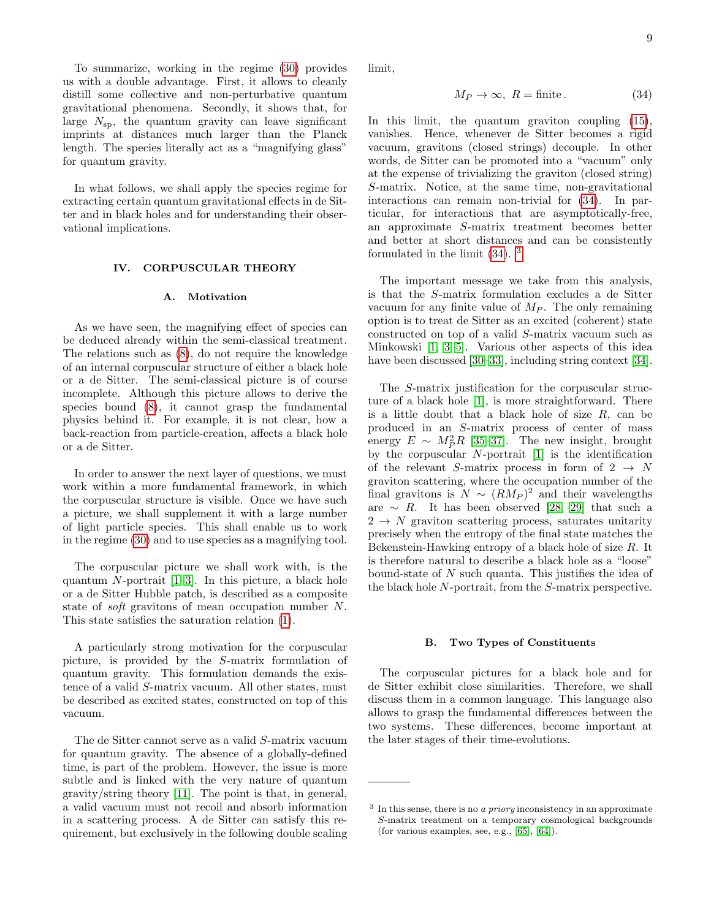To summarize, working in the regime [\(30\)](#page-7-0) provides us with a double advantage. First, it allows to cleanly distill some collective and non-perturbative quantum gravitational phenomena. Secondly, it shows that, for large  $N_{\rm{sp}}$ , the quantum gravity can leave significant imprints at distances much larger than the Planck length. The species literally act as a "magnifying glass" for quantum gravity.

In what follows, we shall apply the species regime for extracting certain quantum gravitational effects in de Sitter and in black holes and for understanding their observational implications.

# IV. CORPUSCULAR THEORY

### A. Motivation

As we have seen, the magnifying effect of species can be deduced already within the semi-classical treatment. The relations such as [\(8\)](#page-3-0), do not require the knowledge of an internal corpuscular structure of either a black hole or a de Sitter. The semi-classical picture is of course incomplete. Although this picture allows to derive the species bound [\(8\)](#page-3-0), it cannot grasp the fundamental physics behind it. For example, it is not clear, how a back-reaction from particle-creation, affects a black hole or a de Sitter.

In order to answer the next layer of questions, we must work within a more fundamental framework, in which the corpuscular structure is visible. Once we have such a picture, we shall supplement it with a large number of light particle species. This shall enable us to work in the regime [\(30\)](#page-7-0) and to use species as a magnifying tool.

The corpuscular picture we shall work with, is the quantum  $N$ -portrait  $[1-3]$  $[1-3]$ . In this picture, a black hole or a de Sitter Hubble patch, is described as a composite state of soft gravitons of mean occupation number N. This state satisfies the saturation relation [\(1\)](#page-0-0).

A particularly strong motivation for the corpuscular picture, is provided by the S-matrix formulation of quantum gravity. This formulation demands the existence of a valid S-matrix vacuum. All other states, must be described as excited states, constructed on top of this vacuum.

The de Sitter cannot serve as a valid S-matrix vacuum for quantum gravity. The absence of a globally-defined time, is part of the problem. However, the issue is more subtle and is linked with the very nature of quantum gravity/string theory [\[11\]](#page-20-7). The point is that, in general, a valid vacuum must not recoil and absorb information in a scattering process. A de Sitter can satisfy this requirement, but exclusively in the following double scaling limit,

<span id="page-8-0"></span>
$$
M_P \to \infty, \ R = \text{finite} \,. \tag{34}
$$

In this limit, the quantum graviton coupling [\(15\)](#page-4-1), vanishes. Hence, whenever de Sitter becomes a rigid vacuum, gravitons (closed strings) decouple. In other words, de Sitter can be promoted into a "vacuum" only at the expense of trivializing the graviton (closed string) S-matrix. Notice, at the same time, non-gravitational interactions can remain non-trivial for [\(34\)](#page-8-0). In particular, for interactions that are asymptotically-free, an approximate S-matrix treatment becomes better and better at short distances and can be consistently formulated in the limit  $(34)$  $(34)$  $(34)$ . <sup>3</sup>

The important message we take from this analysis, is that the S-matrix formulation excludes a de Sitter vacuum for any finite value of  $M_P$ . The only remaining option is to treat de Sitter as an excited (coherent) state constructed on top of a valid S-matrix vacuum such as Minkowski [\[1,](#page-20-0) [3–](#page-20-8)[5\]](#page-20-1). Various other aspects of this idea have been discussed [\[30–](#page-21-7)[33\]](#page-21-8), including string context [\[34\]](#page-21-9).

The S-matrix justification for the corpuscular structure of a black hole [\[1\]](#page-20-0), is more straightforward. There is a little doubt that a black hole of size  $R$ , can be produced in an S-matrix process of center of mass energy  $E \sim M_P^2 R$  [\[35–](#page-21-10)[37\]](#page-21-11). The new insight, brought by the corpuscular  $N$ -portrait  $[1]$  is the identification of the relevant S-matrix process in form of  $2 \rightarrow N$ graviton scattering, where the occupation number of the final gravitons is  $N \sim (RM_P)^2$  and their wavelengths are  $~\sim~ R$ . It has been observed [\[28,](#page-21-12) [29\]](#page-21-13) that such a  $2 \rightarrow N$  graviton scattering process, saturates unitarity precisely when the entropy of the final state matches the Bekenstein-Hawking entropy of a black hole of size R. It is therefore natural to describe a black hole as a "loose" bound-state of  $N$  such quanta. This justifies the idea of the black hole N-portrait, from the S-matrix perspective.

# B. Two Types of Constituents

The corpuscular pictures for a black hole and for de Sitter exhibit close similarities. Therefore, we shall discuss them in a common language. This language also allows to grasp the fundamental differences between the two systems. These differences, become important at the later stages of their time-evolutions.

<span id="page-8-1"></span> $3$  In this sense, there is no a *priory* inconsistency in an approximate S-matrix treatment on a temporary cosmological backgrounds (for various examples, see, e.g., [\[65\]](#page-22-0), [\[64\]](#page-22-1)).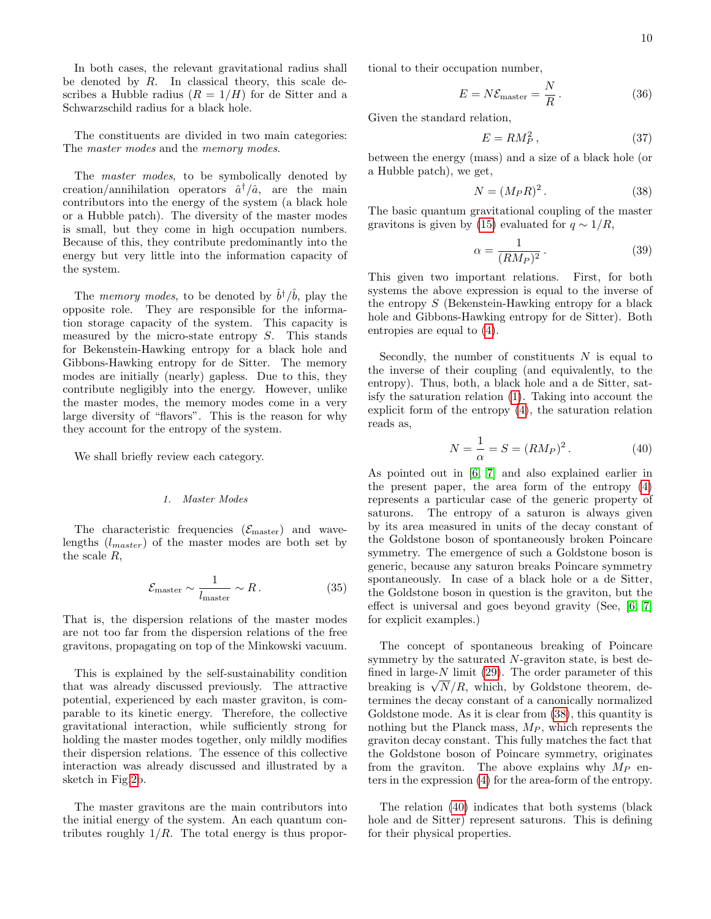In both cases, the relevant gravitational radius shall be denoted by  $R$ . In classical theory, this scale describes a Hubble radius  $(R = 1/H)$  for de Sitter and a Schwarzschild radius for a black hole.

The constituents are divided in two main categories: The *master modes* and the *memory modes*.

The *master modes*, to be symbolically denoted by creation/annihilation operators  $\hat{a}^{\dagger}/\hat{a}$ , are the main contributors into the energy of the system (a black hole or a Hubble patch). The diversity of the master modes is small, but they come in high occupation numbers. Because of this, they contribute predominantly into the energy but very little into the information capacity of the system.

The *memory modes*, to be denoted by  $\hat{b}^{\dagger}/\hat{b}$ , play the opposite role. They are responsible for the information storage capacity of the system. This capacity is measured by the micro-state entropy S. This stands for Bekenstein-Hawking entropy for a black hole and Gibbons-Hawking entropy for de Sitter. The memory modes are initially (nearly) gapless. Due to this, they contribute negligibly into the energy. However, unlike the master modes, the memory modes come in a very large diversity of "flavors". This is the reason for why they account for the entropy of the system.

We shall briefly review each category.

# 1. Master Modes

The characteristic frequencies  $(\mathcal{E}_{\text{master}})$  and wavelengths  $(l_{master})$  of the master modes are both set by the scale R,

$$
\mathcal{E}_{\text{master}} \sim \frac{1}{l_{\text{master}}} \sim R. \tag{35}
$$

That is, the dispersion relations of the master modes are not too far from the dispersion relations of the free gravitons, propagating on top of the Minkowski vacuum.

This is explained by the self-sustainability condition that was already discussed previously. The attractive potential, experienced by each master graviton, is comparable to its kinetic energy. Therefore, the collective gravitational interaction, while sufficiently strong for holding the master modes together, only mildly modifies their dispersion relations. The essence of this collective interaction was already discussed and illustrated by a sketch in Fig[.2b](#page-12-0).

The master gravitons are the main contributors into the initial energy of the system. An each quantum contributes roughly  $1/R$ . The total energy is thus proportional to their occupation number,

$$
E = N \mathcal{E}_{\text{master}} = \frac{N}{R} \,. \tag{36}
$$

Given the standard relation,

<span id="page-9-2"></span>
$$
E = RM_P^2 \,,\tag{37}
$$

between the energy (mass) and a size of a black hole (or a Hubble patch), we get,

<span id="page-9-0"></span>
$$
N = (M_P R)^2. \tag{38}
$$

The basic quantum gravitational coupling of the master gravitons is given by [\(15\)](#page-4-1) evaluated for  $q \sim 1/R$ ,

$$
\alpha = \frac{1}{(RM_P)^2} \,. \tag{39}
$$

This given two important relations. First, for both systems the above expression is equal to the inverse of the entropy  $S$  (Bekenstein-Hawking entropy for a black hole and Gibbons-Hawking entropy for de Sitter). Both entropies are equal to [\(4\)](#page-1-0).

Secondly, the number of constituents  $N$  is equal to the inverse of their coupling (and equivalently, to the entropy). Thus, both, a black hole and a de Sitter, satisfy the saturation relation [\(1\)](#page-0-0). Taking into account the explicit form of the entropy [\(4\)](#page-1-0), the saturation relation reads as,

<span id="page-9-1"></span>
$$
N = \frac{1}{\alpha} = S = (RM_P)^2.
$$
 (40)

As pointed out in [\[6,](#page-20-2) [7\]](#page-20-3) and also explained earlier in the present paper, the area form of the entropy [\(4\)](#page-1-0) represents a particular case of the generic property of saturons. The entropy of a saturon is always given by its area measured in units of the decay constant of the Goldstone boson of spontaneously broken Poincare symmetry. The emergence of such a Goldstone boson is generic, because any saturon breaks Poincare symmetry spontaneously. In case of a black hole or a de Sitter, the Goldstone boson in question is the graviton, but the effect is universal and goes beyond gravity (See, [\[6,](#page-20-2) [7\]](#page-20-3) for explicit examples.)

The concept of spontaneous breaking of Poincare symmetry by the saturated N-graviton state, is best defined in large- $N$  limit [\(29\)](#page-6-1). The order parameter of this ined in large- $N$  limit (29). The order parameter of this<br>breaking is  $\sqrt{N}/R$ , which, by Goldstone theorem, determines the decay constant of a canonically normalized Goldstone mode. As it is clear from [\(38\)](#page-9-0), this quantity is nothing but the Planck mass,  $M_P$ , which represents the graviton decay constant. This fully matches the fact that the Goldstone boson of Poincare symmetry, originates from the graviton. The above explains why  $M_P$  enters in the expression [\(4\)](#page-1-0) for the area-form of the entropy.

The relation [\(40\)](#page-9-1) indicates that both systems (black hole and de Sitter) represent saturons. This is defining for their physical properties.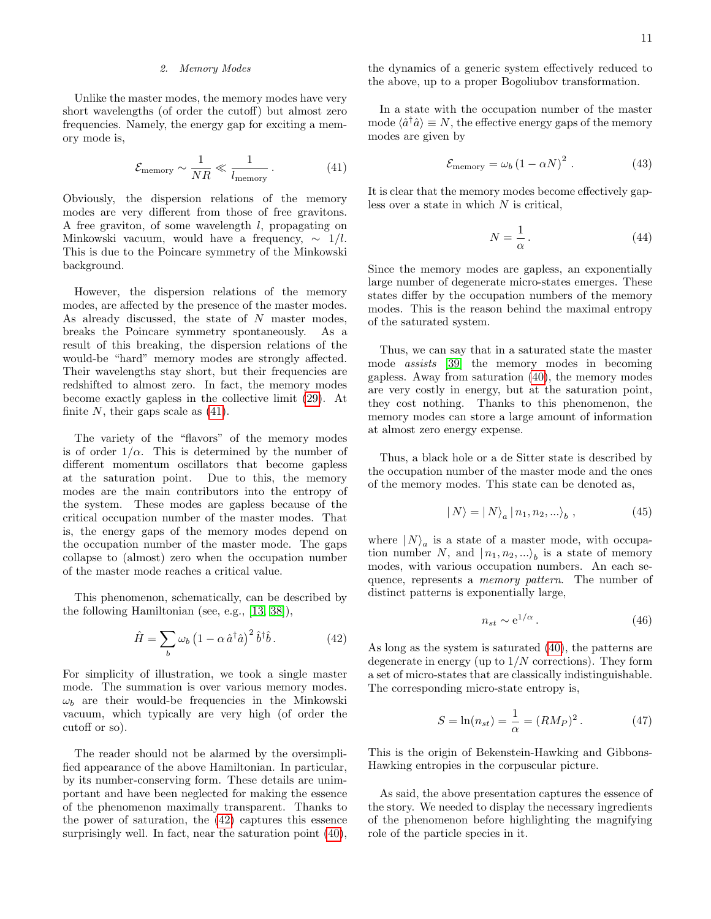## 2. Memory Modes

Unlike the master modes, the memory modes have very short wavelengths (of order the cutoff) but almost zero frequencies. Namely, the energy gap for exciting a memory mode is,

<span id="page-10-0"></span>
$$
\mathcal{E}_{\text{memory}} \sim \frac{1}{NR} \ll \frac{1}{l_{\text{memory}}} \,. \tag{41}
$$

Obviously, the dispersion relations of the memory modes are very different from those of free gravitons. A free graviton, of some wavelength l, propagating on Minkowski vacuum, would have a frequency,  $\sim 1/l$ . This is due to the Poincare symmetry of the Minkowski background.

However, the dispersion relations of the memory modes, are affected by the presence of the master modes. As already discussed, the state of  $N$  master modes, breaks the Poincare symmetry spontaneously. As a result of this breaking, the dispersion relations of the would-be "hard" memory modes are strongly affected. Their wavelengths stay short, but their frequencies are redshifted to almost zero. In fact, the memory modes become exactly gapless in the collective limit [\(29\)](#page-6-1). At finite  $N$ , their gaps scale as  $(41)$ .

The variety of the "flavors" of the memory modes is of order  $1/\alpha$ . This is determined by the number of different momentum oscillators that become gapless at the saturation point. Due to this, the memory modes are the main contributors into the entropy of the system. These modes are gapless because of the critical occupation number of the master modes. That is, the energy gaps of the memory modes depend on the occupation number of the master mode. The gaps collapse to (almost) zero when the occupation number of the master mode reaches a critical value.

This phenomenon, schematically, can be described by the following Hamiltonian (see, e.g., [\[13,](#page-20-11) [38\]](#page-21-14)),

<span id="page-10-1"></span>
$$
\hat{H} = \sum_{b} \omega_b \left( 1 - \alpha \,\hat{a}^\dagger \hat{a} \right)^2 \hat{b}^\dagger \hat{b} \,. \tag{42}
$$

For simplicity of illustration, we took a single master mode. The summation is over various memory modes.  $\omega_b$  are their would-be frequencies in the Minkowski vacuum, which typically are very high (of order the cutoff or so).

The reader should not be alarmed by the oversimplified appearance of the above Hamiltonian. In particular, by its number-conserving form. These details are unimportant and have been neglected for making the essence of the phenomenon maximally transparent. Thanks to the power of saturation, the [\(42\)](#page-10-1) captures this essence surprisingly well. In fact, near the saturation point [\(40\)](#page-9-1),

the dynamics of a generic system effectively reduced to the above, up to a proper Bogoliubov transformation.

In a state with the occupation number of the master mode  $\langle \hat{a}^\dagger \hat{a} \rangle \equiv N$ , the effective energy gaps of the memory modes are given by

<span id="page-10-4"></span>
$$
\mathcal{E}_{\text{memory}} = \omega_b \left(1 - \alpha N\right)^2. \tag{43}
$$

It is clear that the memory modes become effectively gapless over a state in which  $N$  is critical,

$$
N = \frac{1}{\alpha} \,. \tag{44}
$$

Since the memory modes are gapless, an exponentially large number of degenerate micro-states emerges. These states differ by the occupation numbers of the memory modes. This is the reason behind the maximal entropy of the saturated system.

Thus, we can say that in a saturated state the master mode assists [\[39\]](#page-21-15) the memory modes in becoming gapless. Away from saturation [\(40\)](#page-9-1), the memory modes are very costly in energy, but at the saturation point, they cost nothing. Thanks to this phenomenon, the memory modes can store a large amount of information at almost zero energy expense.

Thus, a black hole or a de Sitter state is described by the occupation number of the master mode and the ones of the memory modes. This state can be denoted as,

<span id="page-10-2"></span>
$$
|N\rangle = |N\rangle_a |n_1, n_2, \ldots\rangle_b , \qquad (45)
$$

where  $|N\rangle_a$  is a state of a master mode, with occupation number N, and  $|n_1, n_2,...\rangle_b$  is a state of memory modes, with various occupation numbers. An each sequence, represents a memory pattern. The number of distinct patterns is exponentially large,

$$
n_{st} \sim e^{1/\alpha} \,. \tag{46}
$$

As long as the system is saturated [\(40\)](#page-9-1), the patterns are degenerate in energy (up to  $1/N$  corrections). They form a set of micro-states that are classically indistinguishable. The corresponding micro-state entropy is,

<span id="page-10-3"></span>
$$
S = \ln(n_{st}) = \frac{1}{\alpha} = (RM_P)^2.
$$
 (47)

This is the origin of Bekenstein-Hawking and Gibbons-Hawking entropies in the corpuscular picture.

As said, the above presentation captures the essence of the story. We needed to display the necessary ingredients of the phenomenon before highlighting the magnifying role of the particle species in it.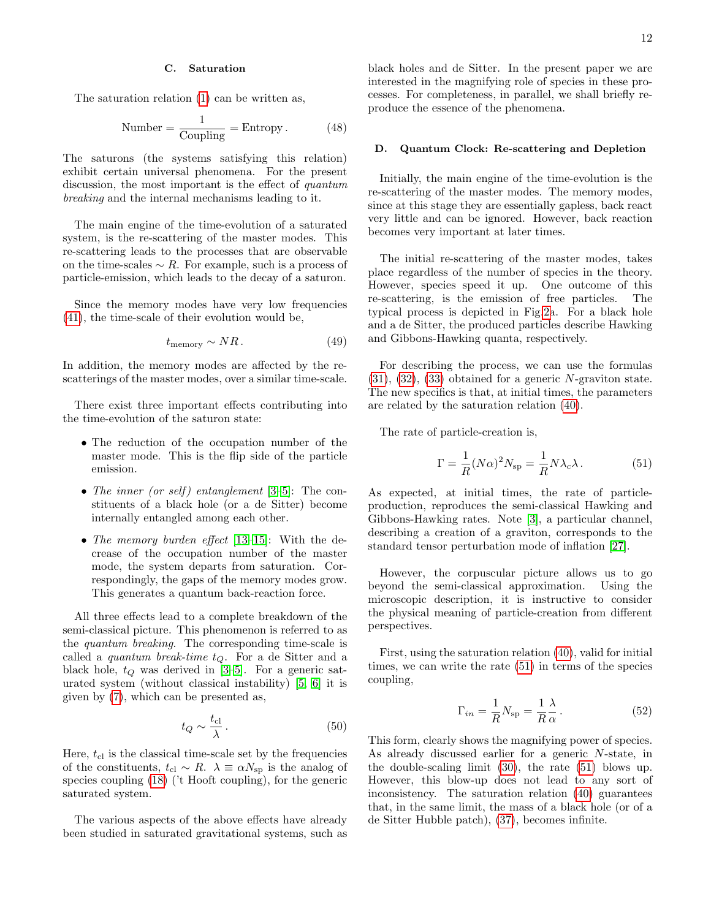# C. Saturation

The saturation relation [\(1\)](#page-0-0) can be written as,

Number = 
$$
\frac{1}{\text{Coupling}}
$$
 = Entropy. (48)

The saturons (the systems satisfying this relation) exhibit certain universal phenomena. For the present discussion, the most important is the effect of quantum breaking and the internal mechanisms leading to it.

The main engine of the time-evolution of a saturated system, is the re-scattering of the master modes. This re-scattering leads to the processes that are observable on the time-scales  $\sim R$ . For example, such is a process of particle-emission, which leads to the decay of a saturon.

Since the memory modes have very low frequencies [\(41\)](#page-10-0), the time-scale of their evolution would be,

$$
t_{\text{memory}} \sim NR. \tag{49}
$$

In addition, the memory modes are affected by the rescatterings of the master modes, over a similar time-scale.

There exist three important effects contributing into the time-evolution of the saturon state:

- The reduction of the occupation number of the master mode. This is the flip side of the particle emission.
- The inner (or self) entanglement  $[3-5]$  $[3-5]$ : The constituents of a black hole (or a de Sitter) become internally entangled among each other.
- The memory burden effect [\[13](#page-20-11)-15]: With the decrease of the occupation number of the master mode, the system departs from saturation. Correspondingly, the gaps of the memory modes grow. This generates a quantum back-reaction force.

All three effects lead to a complete breakdown of the semi-classical picture. This phenomenon is referred to as the quantum breaking. The corresponding time-scale is called a *quantum break-time*  $t_Q$ . For a de Sitter and a black hole,  $t_Q$  was derived in [\[3](#page-20-8)[–5\]](#page-20-1). For a generic saturated system (without classical instability) [\[5,](#page-20-1) [6\]](#page-20-2) it is given by [\(7\)](#page-2-0), which can be presented as,

<span id="page-11-1"></span>
$$
t_Q \sim \frac{t_{\rm cl}}{\lambda} \,. \tag{50}
$$

Here,  $t_{\rm cl}$  is the classical time-scale set by the frequencies of the constituents,  $t_{\text{cl}} \sim R$ .  $\lambda \equiv \alpha N_{\text{sp}}$  is the analog of species coupling [\(18\)](#page-4-2) ('t Hooft coupling), for the generic saturated system.

The various aspects of the above effects have already been studied in saturated gravitational systems, such as black holes and de Sitter. In the present paper we are interested in the magnifying role of species in these processes. For completeness, in parallel, we shall briefly reproduce the essence of the phenomena.

## D. Quantum Clock: Re-scattering and Depletion

Initially, the main engine of the time-evolution is the re-scattering of the master modes. The memory modes, since at this stage they are essentially gapless, back react very little and can be ignored. However, back reaction becomes very important at later times.

The initial re-scattering of the master modes, takes place regardless of the number of species in the theory. However, species speed it up. One outcome of this re-scattering, is the emission of free particles. The typical process is depicted in Fig[.2a](#page-12-0). For a black hole and a de Sitter, the produced particles describe Hawking and Gibbons-Hawking quanta, respectively.

For describing the process, we can use the formulas  $(31), (32), (33)$  $(31), (32), (33)$  $(31), (32), (33)$  $(31), (32), (33)$  $(31), (32), (33)$  obtained for a generic N-graviton state. The new specifics is that, at initial times, the parameters are related by the saturation relation [\(40\)](#page-9-1).

The rate of particle-creation is,

<span id="page-11-0"></span>
$$
\Gamma = \frac{1}{R} (N\alpha)^2 N_{\rm sp} = \frac{1}{R} N \lambda_c \lambda.
$$
 (51)

As expected, at initial times, the rate of particleproduction, reproduces the semi-classical Hawking and Gibbons-Hawking rates. Note [\[3\]](#page-20-8), a particular channel, describing a creation of a graviton, corresponds to the standard tensor perturbation mode of inflation [\[27\]](#page-21-16).

However, the corpuscular picture allows us to go beyond the semi-classical approximation. Using the microscopic description, it is instructive to consider the physical meaning of particle-creation from different perspectives.

First, using the saturation relation [\(40\)](#page-9-1), valid for initial times, we can write the rate [\(51\)](#page-11-0) in terms of the species coupling,

$$
\Gamma_{in} = \frac{1}{R} N_{\rm sp} = \frac{1}{R} \frac{\lambda}{\alpha} \,. \tag{52}
$$

This form, clearly shows the magnifying power of species. As already discussed earlier for a generic N-state, in the double-scaling limit [\(30\)](#page-7-0), the rate [\(51\)](#page-11-0) blows up. However, this blow-up does not lead to any sort of inconsistency. The saturation relation [\(40\)](#page-9-1) guarantees that, in the same limit, the mass of a black hole (or of a de Sitter Hubble patch), [\(37\)](#page-9-2), becomes infinite.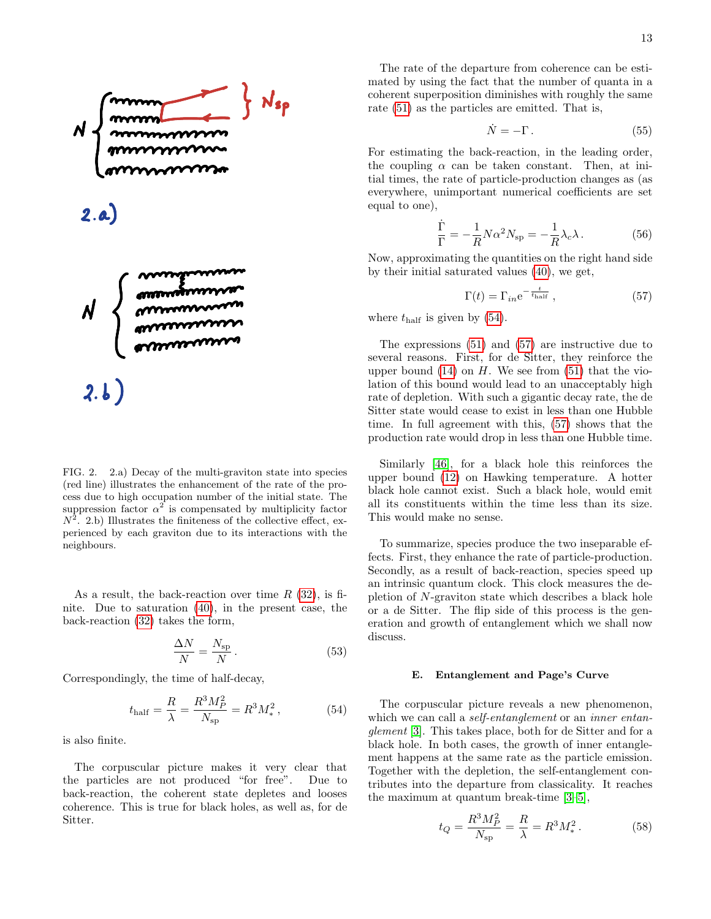

<span id="page-12-0"></span>FIG. 2. 2.a) Decay of the multi-graviton state into species (red line) illustrates the enhancement of the rate of the process due to high occupation number of the initial state. The suppression factor  $\alpha^2$  is compensated by multiplicity factor  $N^2$ . 2.b) Illustrates the finiteness of the collective effect, experienced by each graviton due to its interactions with the neighbours.

As a result, the back-reaction over time  $R(32)$  $R(32)$ , is finite. Due to saturation [\(40\)](#page-9-1), in the present case, the back-reaction [\(32\)](#page-7-2) takes the form,

$$
\frac{\Delta N}{N} = \frac{N_{\rm sp}}{N} \,. \tag{53}
$$

Correspondingly, the time of half-decay,

<span id="page-12-1"></span>
$$
t_{\rm half} = \frac{R}{\lambda} = \frac{R^3 M_P^2}{N_{\rm sp}} = R^3 M_*^2, \qquad (54)
$$

is also finite.

The corpuscular picture makes it very clear that the particles are not produced "for free". Due to back-reaction, the coherent state depletes and looses coherence. This is true for black holes, as well as, for de Sitter.

The rate of the departure from coherence can be estimated by using the fact that the number of quanta in a coherent superposition diminishes with roughly the same rate [\(51\)](#page-11-0) as the particles are emitted. That is,

$$
\dot{N} = -\Gamma \,. \tag{55}
$$

For estimating the back-reaction, in the leading order, the coupling  $\alpha$  can be taken constant. Then, at initial times, the rate of particle-production changes as (as everywhere, unimportant numerical coefficients are set equal to one),

<span id="page-12-4"></span>
$$
\frac{\dot{\Gamma}}{\Gamma} = -\frac{1}{R} N \alpha^2 N_{\rm sp} = -\frac{1}{R} \lambda_c \lambda.
$$
 (56)

Now, approximating the quantities on the right hand side by their initial saturated values [\(40\)](#page-9-1), we get,

<span id="page-12-2"></span>
$$
\Gamma(t) = \Gamma_{in} e^{-\frac{t}{t_{\text{half}}}},\tag{57}
$$

where  $t_{\text{half}}$  is given by [\(54\)](#page-12-1).

The expressions [\(51\)](#page-11-0) and [\(57\)](#page-12-2) are instructive due to several reasons. First, for de Sitter, they reinforce the upper bound  $(14)$  on H. We see from  $(51)$  that the violation of this bound would lead to an unacceptably high rate of depletion. With such a gigantic decay rate, the de Sitter state would cease to exist in less than one Hubble time. In full agreement with this, [\(57\)](#page-12-2) shows that the production rate would drop in less than one Hubble time.

Similarly [\[46\]](#page-21-17), for a black hole this reinforces the upper bound [\(12\)](#page-3-1) on Hawking temperature. A hotter black hole cannot exist. Such a black hole, would emit all its constituents within the time less than its size. This would make no sense.

To summarize, species produce the two inseparable effects. First, they enhance the rate of particle-production. Secondly, as a result of back-reaction, species speed up an intrinsic quantum clock. This clock measures the depletion of N-graviton state which describes a black hole or a de Sitter. The flip side of this process is the generation and growth of entanglement which we shall now discuss.

# E. Entanglement and Page's Curve

The corpuscular picture reveals a new phenomenon, which we can call a *self-entanglement* or an *inner entan*glement [\[3\]](#page-20-8). This takes place, both for de Sitter and for a black hole. In both cases, the growth of inner entanglement happens at the same rate as the particle emission. Together with the depletion, the self-entanglement contributes into the departure from classicality. It reaches the maximum at quantum break-time [\[3–](#page-20-8)[5\]](#page-20-1),

<span id="page-12-3"></span>
$$
t_Q = \frac{R^3 M_P^2}{N_{\rm sp}} = \frac{R}{\lambda} = R^3 M_*^2. \tag{58}
$$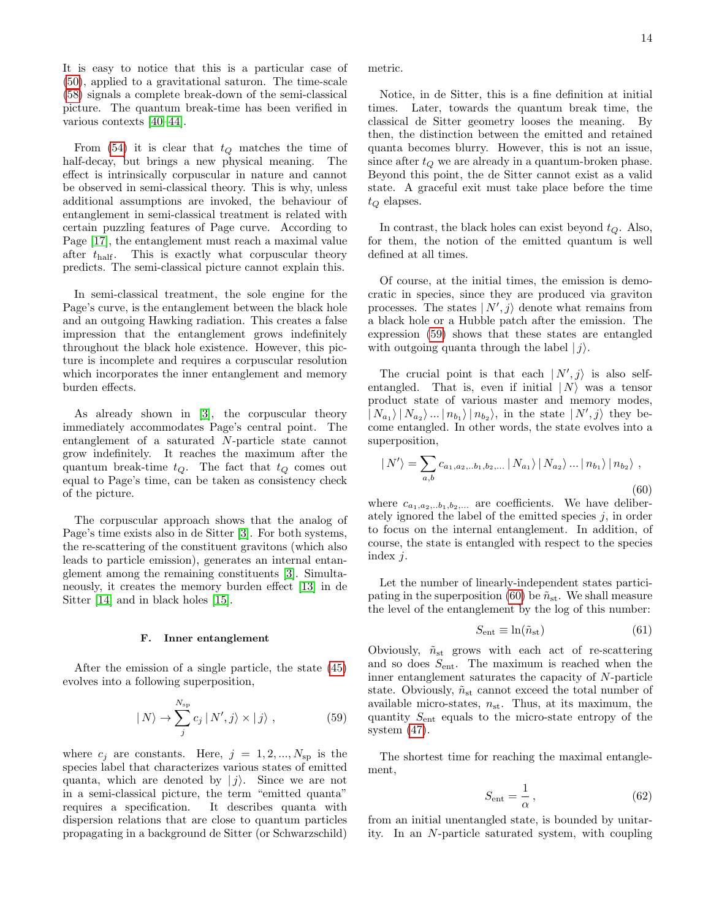It is easy to notice that this is a particular case of [\(50\)](#page-11-1), applied to a gravitational saturon. The time-scale [\(58\)](#page-12-3) signals a complete break-down of the semi-classical picture. The quantum break-time has been verified in various contexts [\[40](#page-21-18)[–44\]](#page-21-19).

From [\(54\)](#page-12-1) it is clear that  $t_Q$  matches the time of half-decay, but brings a new physical meaning. The effect is intrinsically corpuscular in nature and cannot be observed in semi-classical theory. This is why, unless additional assumptions are invoked, the behaviour of entanglement in semi-classical treatment is related with certain puzzling features of Page curve. According to Page [\[17\]](#page-20-13), the entanglement must reach a maximal value after  $t_{\text{half}}$ . This is exactly what corpuscular theory predicts. The semi-classical picture cannot explain this.

In semi-classical treatment, the sole engine for the Page's curve, is the entanglement between the black hole and an outgoing Hawking radiation. This creates a false impression that the entanglement grows indefinitely throughout the black hole existence. However, this picture is incomplete and requires a corpuscular resolution which incorporates the inner entanglement and memory burden effects.

As already shown in [\[3\]](#page-20-8), the corpuscular theory immediately accommodates Page's central point. The entanglement of a saturated N-particle state cannot grow indefinitely. It reaches the maximum after the quantum break-time  $t_Q$ . The fact that  $t_Q$  comes out equal to Page's time, can be taken as consistency check of the picture.

The corpuscular approach shows that the analog of Page's time exists also in de Sitter [\[3\]](#page-20-8). For both systems, the re-scattering of the constituent gravitons (which also leads to particle emission), generates an internal entanglement among the remaining constituents [\[3\]](#page-20-8). Simultaneously, it creates the memory burden effect [\[13\]](#page-20-11) in de Sitter [\[14\]](#page-20-15) and in black holes [\[15\]](#page-20-12).

#### F. Inner entanglement

After the emission of a single particle, the state [\(45\)](#page-10-2) evolves into a following superposition,

<span id="page-13-0"></span>
$$
| N \rangle \to \sum_{j}^{N_{\rm sp}} c_j | N', j \rangle \times | j \rangle , \qquad (59)
$$

where  $c_j$  are constants. Here,  $j = 1, 2, ..., N_{sp}$  is the species label that characterizes various states of emitted quanta, which are denoted by  $|i\rangle$ . Since we are not in a semi-classical picture, the term "emitted quanta" requires a specification. It describes quanta with dispersion relations that are close to quantum particles propagating in a background de Sitter (or Schwarzschild)

metric.

Notice, in de Sitter, this is a fine definition at initial times. Later, towards the quantum break time, the classical de Sitter geometry looses the meaning. By then, the distinction between the emitted and retained quanta becomes blurry. However, this is not an issue, since after  $t<sub>O</sub>$  we are already in a quantum-broken phase. Beyond this point, the de Sitter cannot exist as a valid state. A graceful exit must take place before the time  $t_{\mathcal{O}}$  elapses.

In contrast, the black holes can exist beyond  $t_Q$ . Also, for them, the notion of the emitted quantum is well defined at all times.

Of course, at the initial times, the emission is democratic in species, since they are produced via graviton processes. The states  $|N',j\rangle$  denote what remains from a black hole or a Hubble patch after the emission. The expression [\(59\)](#page-13-0) shows that these states are entangled with outgoing quanta through the label  $|j\rangle$ .

The crucial point is that each  $|N',j\rangle$  is also selfentangled. That is, even if initial  $|N\rangle$  was a tensor product state of various master and memory modes,  $|N_{a_1}\rangle |N_{a_2}\rangle ... |n_{b_1}\rangle |n_{b_2}\rangle$ , in the state  $|N',j\rangle$  they become entangled. In other words, the state evolves into a superposition,

<span id="page-13-1"></span>
$$
|N'\rangle = \sum_{a,b} c_{a_1, a_2, \ldots b_1, b_2, \ldots} |N_{a_1}\rangle |N_{a_2}\rangle \ldots |n_{b_1}\rangle |n_{b_2}\rangle ,
$$
\n(60)

where  $c_{a_1,a_2...b_1,b_2,...}$  are coefficients. We have deliberately ignored the label of the emitted species  $j$ , in order to focus on the internal entanglement. In addition, of course, the state is entangled with respect to the species index j.

Let the number of linearly-independent states partici-pating in the superposition [\(60\)](#page-13-1) be  $\tilde{n}_{st}$ . We shall measure the level of the entanglement by the log of this number:

$$
S_{\text{ent}} \equiv \ln(\tilde{n}_{\text{st}}) \tag{61}
$$

Obviously,  $\tilde{n}_{st}$  grows with each act of re-scattering and so does  $S_{\text{ent}}$ . The maximum is reached when the inner entanglement saturates the capacity of N-particle state. Obviously,  $\tilde{n}_{st}$  cannot exceed the total number of available micro-states,  $n_{st}$ . Thus, at its maximum, the quantity  $S_{\text{ent}}$  equals to the micro-state entropy of the system [\(47\)](#page-10-3).

The shortest time for reaching the maximal entanglement,

$$
S_{\text{ent}} = \frac{1}{\alpha},\tag{62}
$$

from an initial unentangled state, is bounded by unitarity. In an N-particle saturated system, with coupling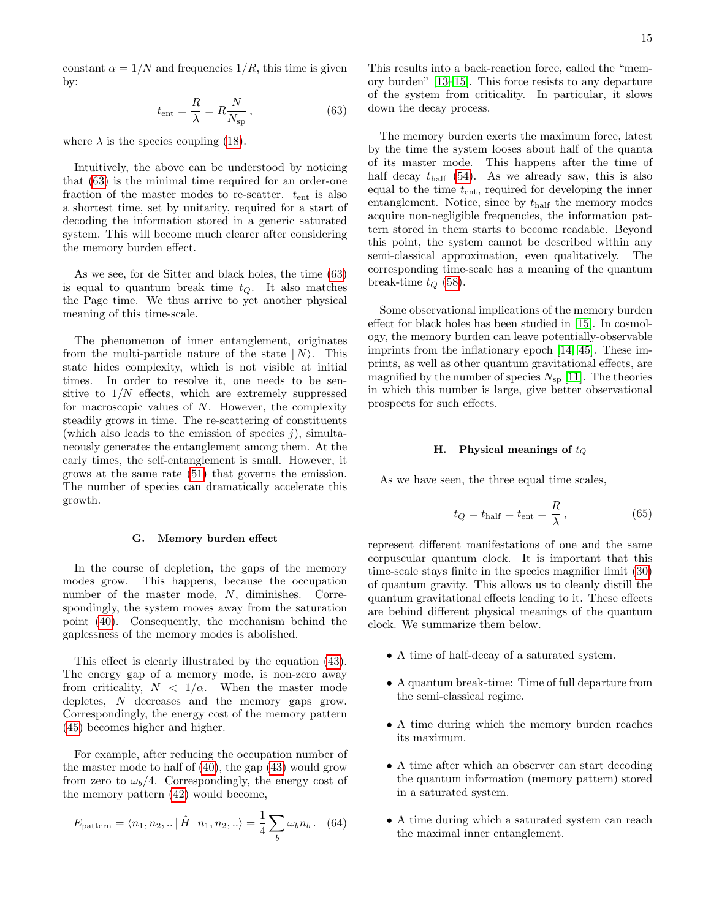constant  $\alpha = 1/N$  and frequencies  $1/R$ , this time is given by:

<span id="page-14-0"></span>
$$
t_{\rm ent} = \frac{R}{\lambda} = R \frac{N}{N_{\rm sp}}\,,\tag{63}
$$

where  $\lambda$  is the species coupling [\(18\)](#page-4-2).

Intuitively, the above can be understood by noticing that [\(63\)](#page-14-0) is the minimal time required for an order-one fraction of the master modes to re-scatter.  $t_{\text{ent}}$  is also a shortest time, set by unitarity, required for a start of decoding the information stored in a generic saturated system. This will become much clearer after considering the memory burden effect.

As we see, for de Sitter and black holes, the time [\(63\)](#page-14-0) is equal to quantum break time  $t_Q$ . It also matches the Page time. We thus arrive to yet another physical meaning of this time-scale.

The phenomenon of inner entanglement, originates from the multi-particle nature of the state  $| N \rangle$ . This state hides complexity, which is not visible at initial times. In order to resolve it, one needs to be sensitive to  $1/N$  effects, which are extremely suppressed for macroscopic values of  $N$ . However, the complexity steadily grows in time. The re-scattering of constituents (which also leads to the emission of species  $j$ ), simultaneously generates the entanglement among them. At the early times, the self-entanglement is small. However, it grows at the same rate [\(51\)](#page-11-0) that governs the emission. The number of species can dramatically accelerate this growth.

#### G. Memory burden effect

In the course of depletion, the gaps of the memory modes grow. This happens, because the occupation number of the master mode, N, diminishes. Correspondingly, the system moves away from the saturation point [\(40\)](#page-9-1). Consequently, the mechanism behind the gaplessness of the memory modes is abolished.

This effect is clearly illustrated by the equation [\(43\)](#page-10-4). The energy gap of a memory mode, is non-zero away from criticality,  $N < 1/\alpha$ . When the master mode depletes, N decreases and the memory gaps grow. Correspondingly, the energy cost of the memory pattern [\(45\)](#page-10-2) becomes higher and higher.

For example, after reducing the occupation number of the master mode to half of [\(40\)](#page-9-1), the gap [\(43\)](#page-10-4) would grow from zero to  $\omega_b/4$ . Correspondingly, the energy cost of the memory pattern [\(42\)](#page-10-1) would become,

$$
E_{\text{pattern}} = \langle n_1, n_2, \dots | \hat{H} | n_1, n_2, \dots \rangle = \frac{1}{4} \sum_{b} \omega_b n_b. \quad (64)
$$

The memory burden exerts the maximum force, latest by the time the system looses about half of the quanta of its master mode. This happens after the time of half decay  $t_{\text{half}}$  [\(54\)](#page-12-1). As we already saw, this is also equal to the time  $t_{\text{ent}}$ , required for developing the inner entanglement. Notice, since by  $t_{\text{half}}$  the memory modes acquire non-negligible frequencies, the information pattern stored in them starts to become readable. Beyond this point, the system cannot be described within any semi-classical approximation, even qualitatively. The corresponding time-scale has a meaning of the quantum break-time  $t_Q$  [\(58\)](#page-12-3).

Some observational implications of the memory burden effect for black holes has been studied in [\[15\]](#page-20-12). In cosmology, the memory burden can leave potentially-observable imprints from the inflationary epoch [\[14,](#page-20-15) [45\]](#page-21-20). These imprints, as well as other quantum gravitational effects, are magnified by the number of species  $N_{\rm sp}$  [\[11\]](#page-20-7). The theories in which this number is large, give better observational prospects for such effects.

#### H. Physical meanings of  $t_Q$

As we have seen, the three equal time scales,

$$
t_Q = t_{\text{half}} = t_{\text{ent}} = \frac{R}{\lambda},\tag{65}
$$

represent different manifestations of one and the same corpuscular quantum clock. It is important that this time-scale stays finite in the species magnifier limit [\(30\)](#page-7-0) of quantum gravity. This allows us to cleanly distill the quantum gravitational effects leading to it. These effects are behind different physical meanings of the quantum clock. We summarize them below.

- A time of half-decay of a saturated system.
- A quantum break-time: Time of full departure from the semi-classical regime.
- A time during which the memory burden reaches its maximum.
- A time after which an observer can start decoding the quantum information (memory pattern) stored in a saturated system.
- A time during which a saturated system can reach the maximal inner entanglement.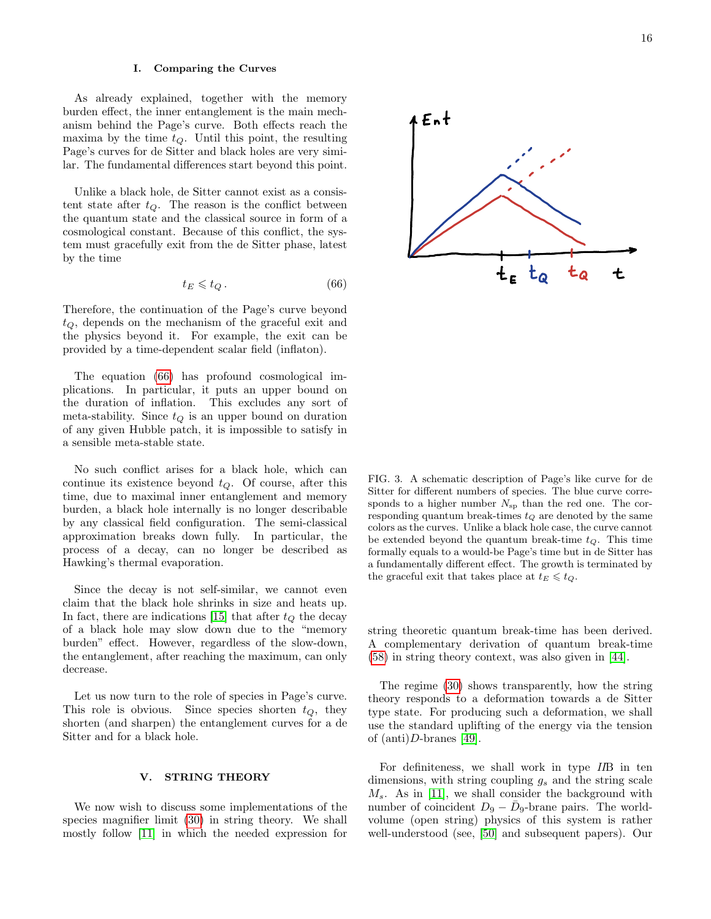### I. Comparing the Curves

As already explained, together with the memory burden effect, the inner entanglement is the main mechanism behind the Page's curve. Both effects reach the maxima by the time  $t_Q$ . Until this point, the resulting Page's curves for de Sitter and black holes are very similar. The fundamental differences start beyond this point.

Unlike a black hole, de Sitter cannot exist as a consistent state after  $t_Q$ . The reason is the conflict between the quantum state and the classical source in form of a cosmological constant. Because of this conflict, the system must gracefully exit from the de Sitter phase, latest by the time

<span id="page-15-0"></span>
$$
t_E \leqslant t_Q. \tag{66}
$$

Therefore, the continuation of the Page's curve beyond  $t_Q$ , depends on the mechanism of the graceful exit and the physics beyond it. For example, the exit can be provided by a time-dependent scalar field (inflaton).

The equation [\(66\)](#page-15-0) has profound cosmological implications. In particular, it puts an upper bound on the duration of inflation. This excludes any sort of meta-stability. Since  $t_Q$  is an upper bound on duration of any given Hubble patch, it is impossible to satisfy in a sensible meta-stable state.

No such conflict arises for a black hole, which can continue its existence beyond  $t_Q$ . Of course, after this time, due to maximal inner entanglement and memory burden, a black hole internally is no longer describable by any classical field configuration. The semi-classical approximation breaks down fully. In particular, the process of a decay, can no longer be described as Hawking's thermal evaporation.

Since the decay is not self-similar, we cannot even claim that the black hole shrinks in size and heats up. In fact, there are indications [\[15\]](#page-20-12) that after  $t_Q$  the decay of a black hole may slow down due to the "memory burden" effect. However, regardless of the slow-down, the entanglement, after reaching the maximum, can only decrease.

Let us now turn to the role of species in Page's curve. This role is obvious. Since species shorten  $t_Q$ , they shorten (and sharpen) the entanglement curves for a de Sitter and for a black hole.

### V. STRING THEORY

We now wish to discuss some implementations of the species magnifier limit [\(30\)](#page-7-0) in string theory. We shall mostly follow [\[11\]](#page-20-7) in which the needed expression for



FIG. 3. A schematic description of Page's like curve for de Sitter for different numbers of species. The blue curve corresponds to a higher number  $N_{sp}$  than the red one. The corresponding quantum break-times  $t_Q$  are denoted by the same colors as the curves. Unlike a black hole case, the curve cannot be extended beyond the quantum break-time  $t_Q$ . This time formally equals to a would-be Page's time but in de Sitter has a fundamentally different effect. The growth is terminated by the graceful exit that takes place at  $t_E \leq t_Q$ .

string theoretic quantum break-time has been derived. A complementary derivation of quantum break-time [\(58\)](#page-12-3) in string theory context, was also given in [\[44\]](#page-21-19).

The regime [\(30\)](#page-7-0) shows transparently, how the string theory responds to a deformation towards a de Sitter type state. For producing such a deformation, we shall use the standard uplifting of the energy via the tension of  $(anti)D{\text -}branes$  [\[49\]](#page-21-21).

For definiteness, we shall work in type IIB in ten dimensions, with string coupling  $g_s$  and the string scale  $M_s$ . As in [\[11\]](#page-20-7), we shall consider the background with number of coincident  $D_9 - \bar{D}_9$ -brane pairs. The worldvolume (open string) physics of this system is rather well-understood (see, [\[50\]](#page-22-2) and subsequent papers). Our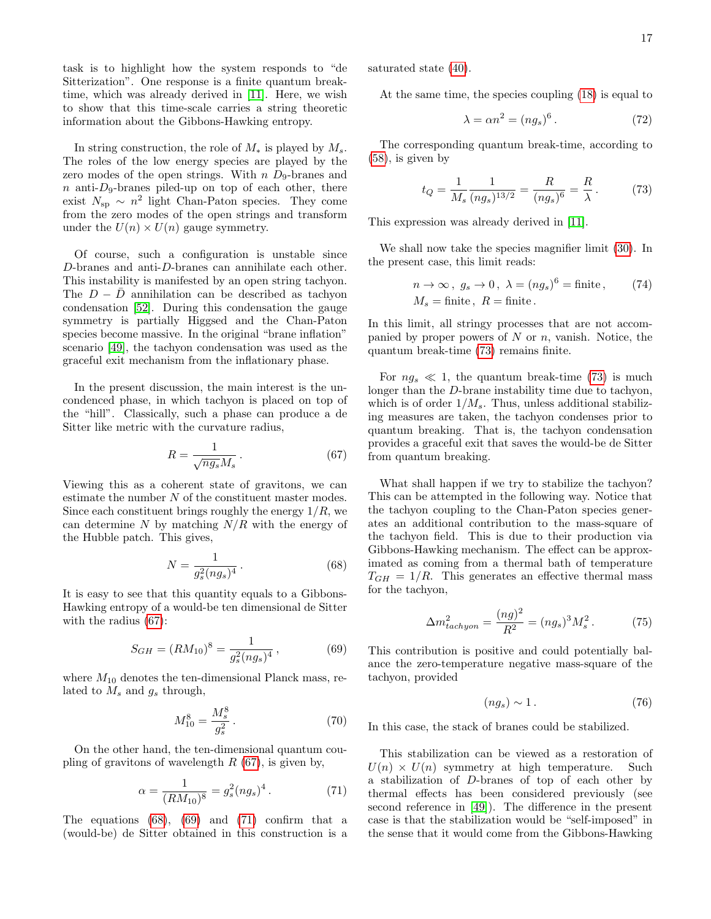task is to highlight how the system responds to "de Sitterization". One response is a finite quantum breaktime, which was already derived in [\[11\]](#page-20-7). Here, we wish to show that this time-scale carries a string theoretic information about the Gibbons-Hawking entropy.

In string construction, the role of  $M_*$  is played by  $M_*$ . The roles of the low energy species are played by the zero modes of the open strings. With  $n D<sub>9</sub>$ -branes and  $n$  anti- $D_9$ -branes piled-up on top of each other, there exist  $N_{\rm sp} \sim n^2$  light Chan-Paton species. They come from the zero modes of the open strings and transform under the  $U(n) \times U(n)$  gauge symmetry.

Of course, such a configuration is unstable since D-branes and anti-D-branes can annihilate each other. This instability is manifested by an open string tachyon. The  $D - \bar{D}$  annihilation can be described as tachyon condensation [\[52\]](#page-22-3). During this condensation the gauge symmetry is partially Higgsed and the Chan-Paton species become massive. In the original "brane inflation" scenario [\[49\]](#page-21-21), the tachyon condensation was used as the graceful exit mechanism from the inflationary phase.

In the present discussion, the main interest is the uncondenced phase, in which tachyon is placed on top of the "hill". Classically, such a phase can produce a de Sitter like metric with the curvature radius,

<span id="page-16-0"></span>
$$
R = \frac{1}{\sqrt{ng_s}M_s} \,. \tag{67}
$$

Viewing this as a coherent state of gravitons, we can estimate the number  $N$  of the constituent master modes. Since each constituent brings roughly the energy  $1/R$ , we can determine N by matching  $N/R$  with the energy of the Hubble patch. This gives,

<span id="page-16-1"></span>
$$
N = \frac{1}{g_s^2 (ng_s)^4} \,. \tag{68}
$$

It is easy to see that this quantity equals to a Gibbons-Hawking entropy of a would-be ten dimensional de Sitter with the radius [\(67\)](#page-16-0):

<span id="page-16-2"></span>
$$
S_{GH} = (RM_{10})^8 = \frac{1}{g_s^2 (ng_s)^4},\tag{69}
$$

where  $M_{10}$  denotes the ten-dimensional Planck mass, related to  $M_s$  and  $g_s$  through,

<span id="page-16-6"></span>
$$
M_{10}^8 = \frac{M_s^8}{g_s^2} \,. \tag{70}
$$

On the other hand, the ten-dimensional quantum coupling of gravitons of wavelength  $R$  [\(67\)](#page-16-0), is given by,

<span id="page-16-3"></span>
$$
\alpha = \frac{1}{(RM_{10})^8} = g_s^2 (ng_s)^4.
$$
 (71)

The equations  $(68)$ ,  $(69)$  and  $(71)$  confirm that a (would-be) de Sitter obtained in this construction is a saturated state [\(40\)](#page-9-1).

At the same time, the species coupling [\(18\)](#page-4-2) is equal to

$$
\lambda = \alpha n^2 = (ng_s)^6. \tag{72}
$$

The corresponding quantum break-time, according to  $(58)$ , is given by

<span id="page-16-4"></span>
$$
t_Q = \frac{1}{M_s} \frac{1}{(ng_s)^{13/2}} = \frac{R}{(ng_s)^6} = \frac{R}{\lambda}.
$$
 (73)

This expression was already derived in [\[11\]](#page-20-7).

We shall now take the species magnifier limit [\(30\)](#page-7-0). In the present case, this limit reads:

$$
n \to \infty, \ g_s \to 0, \ \lambda = (ng_s)^6 = \text{finite}, \tag{74}
$$
  

$$
M_s = \text{finite}, \ R = \text{finite}.
$$

In this limit, all stringy processes that are not accompanied by proper powers of  $N$  or  $n$ , vanish. Notice, the quantum break-time [\(73\)](#page-16-4) remains finite.

For  $ng_s \ll 1$ , the quantum break-time [\(73\)](#page-16-4) is much longer than the D-brane instability time due to tachyon, which is of order  $1/M_s$ . Thus, unless additional stabilizing measures are taken, the tachyon condenses prior to quantum breaking. That is, the tachyon condensation provides a graceful exit that saves the would-be de Sitter from quantum breaking.

What shall happen if we try to stabilize the tachyon? This can be attempted in the following way. Notice that the tachyon coupling to the Chan-Paton species generates an additional contribution to the mass-square of the tachyon field. This is due to their production via Gibbons-Hawking mechanism. The effect can be approximated as coming from a thermal bath of temperature  $T_{GH} = 1/R$ . This generates an effective thermal mass for the tachyon,

$$
\Delta m_{tachyon}^2 = \frac{(ng)^2}{R^2} = (ng_s)^3 M_s^2. \tag{75}
$$

This contribution is positive and could potentially balance the zero-temperature negative mass-square of the tachyon, provided

<span id="page-16-5"></span>
$$
(ng_s) \sim 1. \tag{76}
$$

In this case, the stack of branes could be stabilized.

This stabilization can be viewed as a restoration of  $U(n) \times U(n)$  symmetry at high temperature. Such a stabilization of D-branes of top of each other by thermal effects has been considered previously (see second reference in [\[49\]](#page-21-21)). The difference in the present case is that the stabilization would be "self-imposed" in the sense that it would come from the Gibbons-Hawking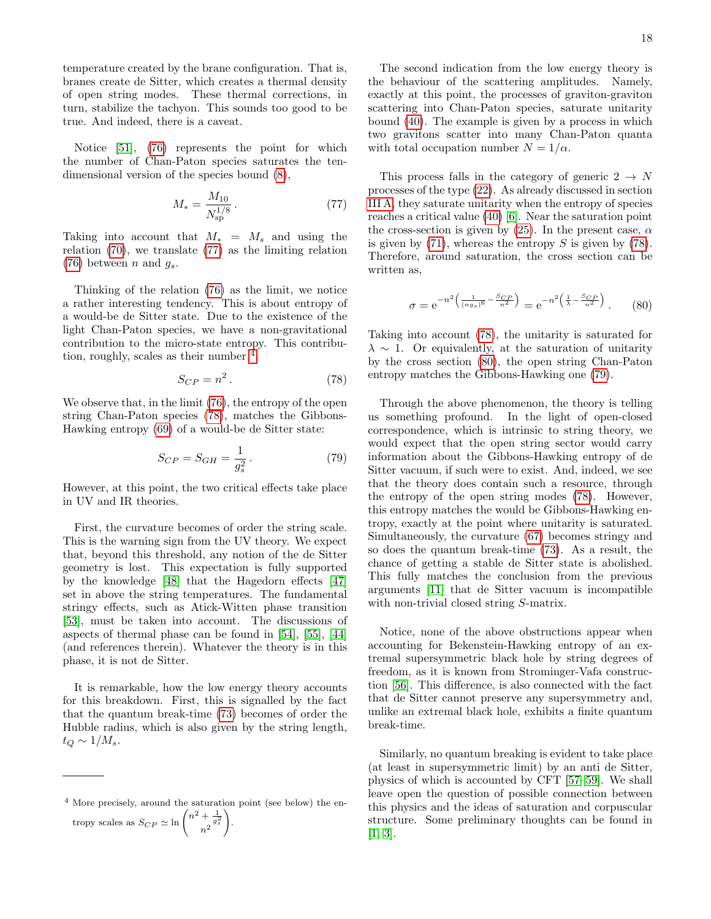temperature created by the brane configuration. That is, branes create de Sitter, which creates a thermal density of open string modes. These thermal corrections, in turn, stabilize the tachyon. This sounds too good to be true. And indeed, there is a caveat.

Notice [\[51\]](#page-22-4), [\(76\)](#page-16-5) represents the point for which the number of Chan-Paton species saturates the tendimensional version of the species bound [\(8\)](#page-3-0),

<span id="page-17-0"></span>
$$
M_* = \frac{M_{10}}{N_{\rm sp}^{1/8}}.\t(77)
$$

Taking into account that  $M_* = M_s$  and using the relation [\(70\)](#page-16-6), we translate [\(77\)](#page-17-0) as the limiting relation [\(76\)](#page-16-5) between n and  $q_s$ .

Thinking of the relation [\(76\)](#page-16-5) as the limit, we notice a rather interesting tendency. This is about entropy of a would-be de Sitter state. Due to the existence of the light Chan-Paton species, we have a non-gravitational contribution to the micro-state entropy. This contribution, roughly, scales as their number  $\frac{4}{3}$  $\frac{4}{3}$  $\frac{4}{3}$ ,

<span id="page-17-2"></span>
$$
S_{CP} = n^2. \tag{78}
$$

We observe that, in the limit [\(76\)](#page-16-5), the entropy of the open string Chan-Paton species [\(78\)](#page-17-2), matches the Gibbons-Hawking entropy [\(69\)](#page-16-2) of a would-be de Sitter state:

<span id="page-17-4"></span>
$$
S_{CP} = S_{GH} = \frac{1}{g_s^2}.
$$
 (79)

However, at this point, the two critical effects take place in UV and IR theories.

First, the curvature becomes of order the string scale. This is the warning sign from the UV theory. We expect that, beyond this threshold, any notion of the de Sitter geometry is lost. This expectation is fully supported by the knowledge [\[48\]](#page-21-22) that the Hagedorn effects [\[47\]](#page-21-23) set in above the string temperatures. The fundamental stringy effects, such as Atick-Witten phase transition [\[53\]](#page-22-5), must be taken into account. The discussions of aspects of thermal phase can be found in [\[54\]](#page-22-6), [\[55\]](#page-22-7), [\[44\]](#page-21-19) (and references therein). Whatever the theory is in this phase, it is not de Sitter.

It is remarkable, how the low energy theory accounts for this breakdown. First, this is signalled by the fact that the quantum break-time [\(73\)](#page-16-4) becomes of order the Hubble radius, which is also given by the string length,  $t_Q \sim 1/M_s$ .

The second indication from the low energy theory is the behaviour of the scattering amplitudes. Namely, exactly at this point, the processes of graviton-graviton scattering into Chan-Paton species, saturate unitarity bound [\(40\)](#page-9-1). The example is given by a process in which two gravitons scatter into many Chan-Paton quanta with total occupation number  $N = 1/\alpha$ .

This process falls in the category of generic  $2 \rightarrow N$ processes of the type [\(22\)](#page-5-2). As already discussed in section [III A,](#page-4-6) they saturate unitarity when the entropy of species reaches a critical value [\(40\)](#page-9-1) [\[6\]](#page-20-2). Near the saturation point the cross-section is given by [\(25\)](#page-6-0). In the present case,  $\alpha$ is given by  $(71)$ , whereas the entropy S is given by  $(78)$ . Therefore, around saturation, the cross section can be written as,

<span id="page-17-3"></span>
$$
\sigma = e^{-n^2 \left(\frac{1}{(n g_s)^6} - \frac{S_{CP}}{n^2}\right)} = e^{-n^2 \left(\frac{1}{\lambda} - \frac{S_{CP}}{n^2}\right)}.
$$
 (80)

Taking into account [\(78\)](#page-17-2), the unitarity is saturated for  $\lambda \sim 1$ . Or equivalently, at the saturation of unitarity by the cross section [\(80\)](#page-17-3), the open string Chan-Paton entropy matches the Gibbons-Hawking one [\(79\)](#page-17-4).

Through the above phenomenon, the theory is telling us something profound. In the light of open-closed correspondence, which is intrinsic to string theory, we would expect that the open string sector would carry information about the Gibbons-Hawking entropy of de Sitter vacuum, if such were to exist. And, indeed, we see that the theory does contain such a resource, through the entropy of the open string modes [\(78\)](#page-17-2). However, this entropy matches the would be Gibbons-Hawking entropy, exactly at the point where unitarity is saturated. Simultaneously, the curvature [\(67\)](#page-16-0) becomes stringy and so does the quantum break-time [\(73\)](#page-16-4). As a result, the chance of getting a stable de Sitter state is abolished. This fully matches the conclusion from the previous arguments [\[11\]](#page-20-7) that de Sitter vacuum is incompatible with non-trivial closed string S-matrix.

Notice, none of the above obstructions appear when accounting for Bekenstein-Hawking entropy of an extremal supersymmetric black hole by string degrees of freedom, as it is known from Strominger-Vafa construction [\[56\]](#page-22-8). This difference, is also connected with the fact that de Sitter cannot preserve any supersymmetry and, unlike an extremal black hole, exhibits a finite quantum break-time.

Similarly, no quantum breaking is evident to take place (at least in supersymmetric limit) by an anti de Sitter, physics of which is accounted by CFT [\[57–](#page-22-9)[59\]](#page-22-10). We shall leave open the question of possible connection between this physics and the ideas of saturation and corpuscular structure. Some preliminary thoughts can be found in [\[1,](#page-20-0) [3\]](#page-20-8).

<span id="page-17-1"></span><sup>4</sup> More precisely, around the saturation point (see below) the entropy scales as  $S_{CP} \simeq \ln \left( \frac{n^2 + \frac{1}{g_s^2}}{n^2} \right)$ ! .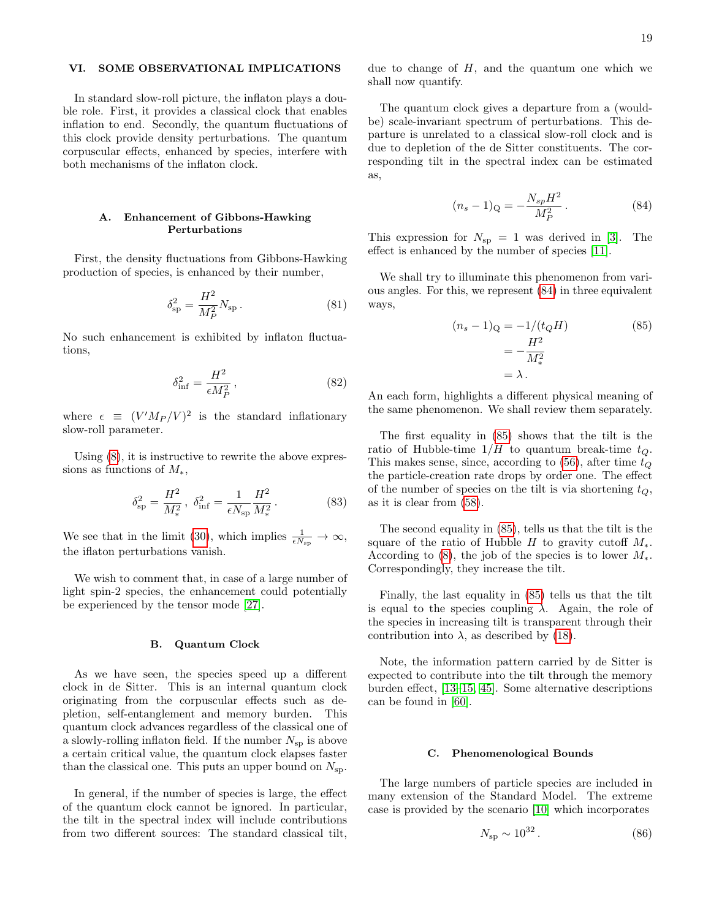# VI. SOME OBSERVATIONAL IMPLICATIONS

In standard slow-roll picture, the inflaton plays a double role. First, it provides a classical clock that enables inflation to end. Secondly, the quantum fluctuations of this clock provide density perturbations. The quantum corpuscular effects, enhanced by species, interfere with both mechanisms of the inflaton clock.

# A. Enhancement of Gibbons-Hawking Perturbations

First, the density fluctuations from Gibbons-Hawking production of species, is enhanced by their number,

$$
\delta_{\rm sp}^2 = \frac{H^2}{M_P^2} N_{\rm sp} \,. \tag{81}
$$

No such enhancement is exhibited by inflaton fluctuations,

$$
\delta_{\rm inf}^2 = \frac{H^2}{\epsilon M_P^2},\tag{82}
$$

where  $\epsilon \equiv (V'M_P/V)^2$  is the standard inflationary slow-roll parameter.

Using  $(8)$ , it is instructive to rewrite the above expressions as functions of  $M_*$ ,

$$
\delta_{\rm sp}^2 = \frac{H^2}{M_*^2}, \ \delta_{\rm inf}^2 = \frac{1}{\epsilon N_{\rm sp}} \frac{H^2}{M_*^2} \,. \tag{83}
$$

We see that in the limit [\(30\)](#page-7-0), which implies  $\frac{1}{\epsilon N_{\rm sp}} \to \infty$ , the iflaton perturbations vanish.

We wish to comment that, in case of a large number of light spin-2 species, the enhancement could potentially be experienced by the tensor mode [\[27\]](#page-21-16).

# B. Quantum Clock

As we have seen, the species speed up a different clock in de Sitter. This is an internal quantum clock originating from the corpuscular effects such as depletion, self-entanglement and memory burden. This quantum clock advances regardless of the classical one of a slowly-rolling inflaton field. If the number  $N_{\rm sp}$  is above a certain critical value, the quantum clock elapses faster than the classical one. This puts an upper bound on  $N_{\rm sp}$ .

In general, if the number of species is large, the effect of the quantum clock cannot be ignored. In particular, the tilt in the spectral index will include contributions from two different sources: The standard classical tilt,

due to change of  $H$ , and the quantum one which we shall now quantify.

The quantum clock gives a departure from a (wouldbe) scale-invariant spectrum of perturbations. This departure is unrelated to a classical slow-roll clock and is due to depletion of the de Sitter constituents. The corresponding tilt in the spectral index can be estimated as,

<span id="page-18-0"></span>
$$
(n_s - 1)_{\mathcal{Q}} = -\frac{N_{sp}H^2}{M_P^2}.
$$
 (84)

This expression for  $N_{\rm sp} = 1$  was derived in [\[3\]](#page-20-8). The effect is enhanced by the number of species [\[11\]](#page-20-7).

We shall try to illuminate this phenomenon from various angles. For this, we represent [\(84\)](#page-18-0) in three equivalent ways,

<span id="page-18-1"></span>
$$
(n_s - 1)Q = -1/(t_QH)
$$
  
= 
$$
-\frac{H^2}{M_*^2}
$$
  
= 
$$
\lambda.
$$
 (85)

An each form, highlights a different physical meaning of the same phenomenon. We shall review them separately.

The first equality in [\(85\)](#page-18-1) shows that the tilt is the ratio of Hubble-time  $1/H$  to quantum break-time  $t_Q$ . This makes sense, since, according to  $(56)$ , after time  $t_Q$ the particle-creation rate drops by order one. The effect of the number of species on the tilt is via shortening  $t_Q$ , as it is clear from [\(58\)](#page-12-3).

The second equality in [\(85\)](#page-18-1), tells us that the tilt is the square of the ratio of Hubble H to gravity cutoff  $M_*$ . According to  $(8)$ , the job of the species is to lower  $M_*$ . Correspondingly, they increase the tilt.

Finally, the last equality in [\(85\)](#page-18-1) tells us that the tilt is equal to the species coupling  $\lambda$ . Again, the role of the species in increasing tilt is transparent through their contribution into  $\lambda$ , as described by [\(18\)](#page-4-2).

Note, the information pattern carried by de Sitter is expected to contribute into the tilt through the memory burden effect, [\[13–](#page-20-11)[15,](#page-20-12) [45\]](#page-21-20). Some alternative descriptions can be found in [\[60\]](#page-22-11).

# C. Phenomenological Bounds

The large numbers of particle species are included in many extension of the Standard Model. The extreme case is provided by the scenario [\[10\]](#page-20-6) which incorporates

<span id="page-18-2"></span>
$$
N_{\rm sp} \sim 10^{32} \,. \tag{86}
$$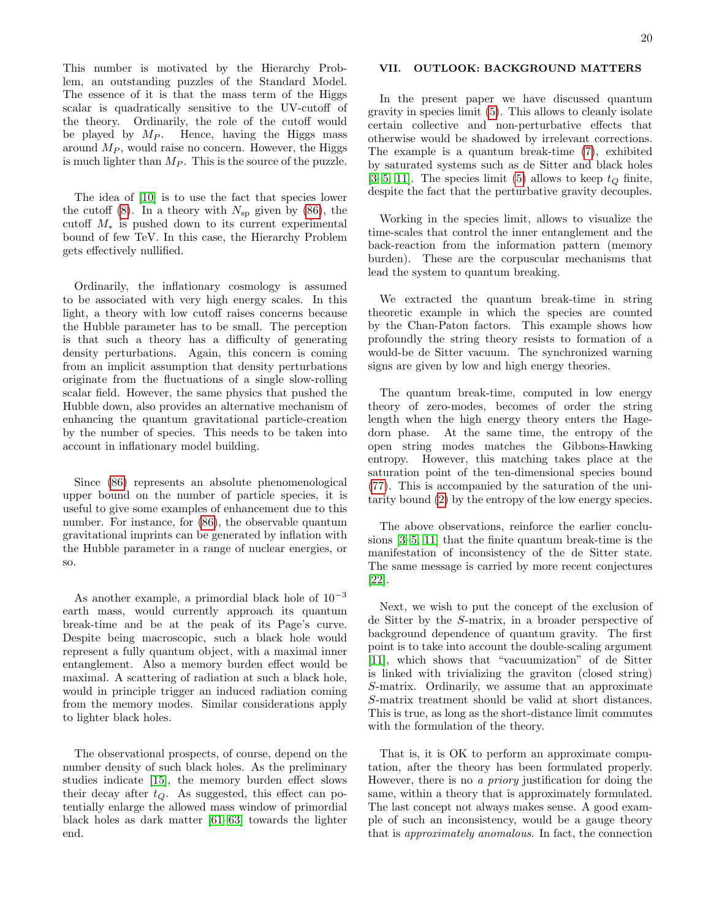This number is motivated by the Hierarchy Problem, an outstanding puzzles of the Standard Model. The essence of it is that the mass term of the Higgs scalar is quadratically sensitive to the UV-cutoff of the theory. Ordinarily, the role of the cutoff would be played by  $M_P$ . Hence, having the Higgs mass around  $M_P$ , would raise no concern. However, the Higgs is much lighter than  $M_P$ . This is the source of the puzzle.

The idea of [\[10\]](#page-20-6) is to use the fact that species lower the cutoff  $(8)$ . In a theory with  $N_{\rm sp}$  given by  $(86)$ , the cutoff  $M_*$  is pushed down to its current experimental bound of few TeV. In this case, the Hierarchy Problem gets effectively nullified.

Ordinarily, the inflationary cosmology is assumed to be associated with very high energy scales. In this light, a theory with low cutoff raises concerns because the Hubble parameter has to be small. The perception is that such a theory has a difficulty of generating density perturbations. Again, this concern is coming from an implicit assumption that density perturbations originate from the fluctuations of a single slow-rolling scalar field. However, the same physics that pushed the Hubble down, also provides an alternative mechanism of enhancing the quantum gravitational particle-creation by the number of species. This needs to be taken into account in inflationary model building.

Since [\(86\)](#page-18-2) represents an absolute phenomenological upper bound on the number of particle species, it is useful to give some examples of enhancement due to this number. For instance, for [\(86\)](#page-18-2), the observable quantum gravitational imprints can be generated by inflation with the Hubble parameter in a range of nuclear energies, or so.

As another example, a primordial black hole of  $10^{-3}$ earth mass, would currently approach its quantum break-time and be at the peak of its Page's curve. Despite being macroscopic, such a black hole would represent a fully quantum object, with a maximal inner entanglement. Also a memory burden effect would be maximal. A scattering of radiation at such a black hole, would in principle trigger an induced radiation coming from the memory modes. Similar considerations apply to lighter black holes.

The observational prospects, of course, depend on the number density of such black holes. As the preliminary studies indicate [\[15\]](#page-20-12), the memory burden effect slows their decay after  $t<sub>O</sub>$ . As suggested, this effect can potentially enlarge the allowed mass window of primordial black holes as dark matter [\[61–](#page-22-12)[63\]](#page-22-13) towards the lighter end.

# VII. OUTLOOK: BACKGROUND MATTERS

In the present paper we have discussed quantum gravity in species limit [\(5\)](#page-1-1). This allows to cleanly isolate certain collective and non-perturbative effects that otherwise would be shadowed by irrelevant corrections. The example is a quantum break-time [\(7\)](#page-2-0), exhibited by saturated systems such as de Sitter and black holes [\[3–](#page-20-8)[5,](#page-20-1) [11\]](#page-20-7). The species limit [\(5\)](#page-1-1) allows to keep  $t_Q$  finite, despite the fact that the perturbative gravity decouples.

Working in the species limit, allows to visualize the time-scales that control the inner entanglement and the back-reaction from the information pattern (memory burden). These are the corpuscular mechanisms that lead the system to quantum breaking.

We extracted the quantum break-time in string theoretic example in which the species are counted by the Chan-Paton factors. This example shows how profoundly the string theory resists to formation of a would-be de Sitter vacuum. The synchronized warning signs are given by low and high energy theories.

The quantum break-time, computed in low energy theory of zero-modes, becomes of order the string length when the high energy theory enters the Hagedorn phase. At the same time, the entropy of the open string modes matches the Gibbons-Hawking entropy. However, this matching takes place at the saturation point of the ten-dimensional species bound [\(77\)](#page-17-0). This is accompanied by the saturation of the unitarity bound [\(2\)](#page-0-3) by the entropy of the low energy species.

The above observations, reinforce the earlier conclusions [\[3](#page-20-8)[–5,](#page-20-1) [11\]](#page-20-7) that the finite quantum break-time is the manifestation of inconsistency of the de Sitter state. The same message is carried by more recent conjectures [\[22\]](#page-21-2).

Next, we wish to put the concept of the exclusion of de Sitter by the S-matrix, in a broader perspective of background dependence of quantum gravity. The first point is to take into account the double-scaling argument [\[11\]](#page-20-7), which shows that "vacuumization" of de Sitter is linked with trivializing the graviton (closed string) S-matrix. Ordinarily, we assume that an approximate S-matrix treatment should be valid at short distances. This is true, as long as the short-distance limit commutes with the formulation of the theory.

That is, it is OK to perform an approximate computation, after the theory has been formulated properly. However, there is no a priory justification for doing the same, within a theory that is approximately formulated. The last concept not always makes sense. A good example of such an inconsistency, would be a gauge theory that is approximately anomalous. In fact, the connection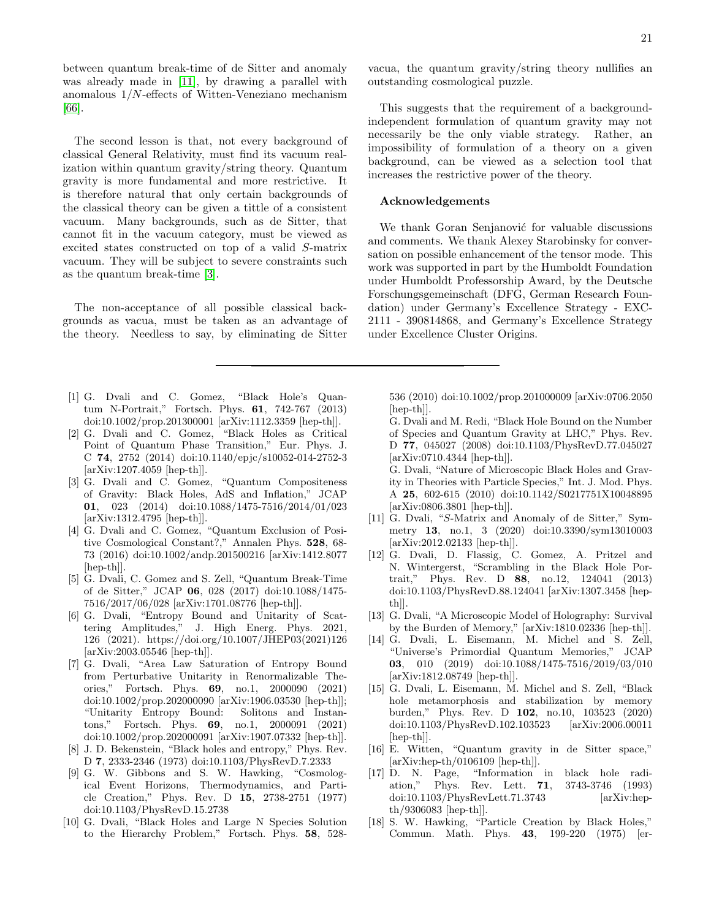between quantum break-time of de Sitter and anomaly was already made in [\[11\]](#page-20-7), by drawing a parallel with anomalous 1/N-effects of Witten-Veneziano mechanism [\[66\]](#page-22-14).

The second lesson is that, not every background of classical General Relativity, must find its vacuum realization within quantum gravity/string theory. Quantum gravity is more fundamental and more restrictive. It is therefore natural that only certain backgrounds of the classical theory can be given a tittle of a consistent vacuum. Many backgrounds, such as de Sitter, that cannot fit in the vacuum category, must be viewed as excited states constructed on top of a valid S-matrix vacuum. They will be subject to severe constraints such as the quantum break-time [\[3\]](#page-20-8).

The non-acceptance of all possible classical backgrounds as vacua, must be taken as an advantage of the theory. Needless to say, by eliminating de Sitter

- <span id="page-20-0"></span>[1] G. Dvali and C. Gomez, "Black Hole's Quantum N-Portrait," Fortsch. Phys. 61, 742-767 (2013) doi:10.1002/prop.201300001 [arXiv:1112.3359 [hep-th]].
- <span id="page-20-10"></span>[2] G. Dvali and C. Gomez, "Black Holes as Critical Point of Quantum Phase Transition," Eur. Phys. J. C 74, 2752 (2014) doi:10.1140/epjc/s10052-014-2752-3 [arXiv:1207.4059 [hep-th]].
- <span id="page-20-8"></span>[3] G. Dvali and C. Gomez, "Quantum Compositeness of Gravity: Black Holes, AdS and Inflation," JCAP 01, 023 (2014) doi:10.1088/1475-7516/2014/01/023 [arXiv:1312.4795 [hep-th]].
- [4] G. Dvali and C. Gomez, "Quantum Exclusion of Positive Cosmological Constant?," Annalen Phys. 528, 68- 73 (2016) doi:10.1002/andp.201500216 [arXiv:1412.8077 [hep-th]].
- <span id="page-20-1"></span>[5] G. Dvali, C. Gomez and S. Zell, "Quantum Break-Time of de Sitter," JCAP 06, 028 (2017) doi:10.1088/1475- 7516/2017/06/028 [arXiv:1701.08776 [hep-th]].
- <span id="page-20-2"></span>[6] G. Dvali, "Entropy Bound and Unitarity of Scattering Amplitudes," J. High Energ. Phys. 2021, 126 (2021). https://doi.org/10.1007/JHEP03(2021)126 [arXiv:2003.05546 [hep-th]].
- <span id="page-20-3"></span>[7] G. Dvali, "Area Law Saturation of Entropy Bound from Perturbative Unitarity in Renormalizable Theories," Fortsch. Phys. 69, no.1, 2000090 (2021) doi:10.1002/prop.202000090 [arXiv:1906.03530 [hep-th]]; "Unitarity Entropy Bound: Solitons and Instantons," Fortsch. Phys. 69, no.1, 2000091 (2021) doi:10.1002/prop.202000091 [arXiv:1907.07332 [hep-th]].
- <span id="page-20-4"></span>[8] J. D. Bekenstein, "Black holes and entropy," Phys. Rev. D 7, 2333-2346 (1973) doi:10.1103/PhysRevD.7.2333
- <span id="page-20-5"></span>[9] G. W. Gibbons and S. W. Hawking, "Cosmological Event Horizons, Thermodynamics, and Particle Creation," Phys. Rev. D 15, 2738-2751 (1977) doi:10.1103/PhysRevD.15.2738
- <span id="page-20-6"></span>[10] G. Dvali, "Black Holes and Large N Species Solution to the Hierarchy Problem," Fortsch. Phys. 58, 528-

vacua, the quantum gravity/string theory nullifies an outstanding cosmological puzzle.

This suggests that the requirement of a backgroundindependent formulation of quantum gravity may not necessarily be the only viable strategy. Rather, an impossibility of formulation of a theory on a given background, can be viewed as a selection tool that increases the restrictive power of the theory.

## Acknowledgements

We thank Goran Senjanović for valuable discussions and comments. We thank Alexey Starobinsky for conversation on possible enhancement of the tensor mode. This work was supported in part by the Humboldt Foundation under Humboldt Professorship Award, by the Deutsche Forschungsgemeinschaft (DFG, German Research Foundation) under Germany's Excellence Strategy - EXC-2111 - 390814868, and Germany's Excellence Strategy under Excellence Cluster Origins.

536 (2010) doi:10.1002/prop.201000009 [arXiv:0706.2050 [hep-th]].

- G. Dvali and M. Redi, "Black Hole Bound on the Number of Species and Quantum Gravity at LHC," Phys. Rev. D 77, 045027 (2008) doi:10.1103/PhysRevD.77.045027 [arXiv:0710.4344 [hep-th]].
- G. Dvali, "Nature of Microscopic Black Holes and Gravity in Theories with Particle Species," Int. J. Mod. Phys. A 25, 602-615 (2010) doi:10.1142/S0217751X10048895 [arXiv:0806.3801 [hep-th]].
- <span id="page-20-7"></span>[11] G. Dvali, "S-Matrix and Anomaly of de Sitter," Symmetry 13, no.1, 3 (2020) doi:10.3390/sym13010003 [arXiv:2012.02133 [hep-th]].
- <span id="page-20-9"></span>[12] G. Dvali, D. Flassig, C. Gomez, A. Pritzel and N. Wintergerst, "Scrambling in the Black Hole Portrait," Phys. Rev. D 88, no.12, 124041 (2013) doi:10.1103/PhysRevD.88.124041 [arXiv:1307.3458 [hepth]].
- <span id="page-20-11"></span>[13] G. Dvali, "A Microscopic Model of Holography: Survival by the Burden of Memory," [arXiv:1810.02336 [hep-th]].
- <span id="page-20-15"></span>[14] G. Dvali, L. Eisemann, M. Michel and S. Zell, "Universe's Primordial Quantum Memories," JCAP 03, 010 (2019) doi:10.1088/1475-7516/2019/03/010 [arXiv:1812.08749 [hep-th]].
- <span id="page-20-12"></span>[15] G. Dvali, L. Eisemann, M. Michel and S. Zell, "Black hole metamorphosis and stabilization by memory burden," Phys. Rev. D 102, no.10, 103523 (2020) doi:10.1103/PhysRevD.102.103523 [arXiv:2006.00011  $\vert \text{hep-th} \vert$ .
- <span id="page-20-14"></span>[16] E. Witten, "Quantum gravity in de Sitter space," [arXiv:hep-th/0106109 [hep-th]].
- <span id="page-20-13"></span>[17] D. N. Page, "Information in black hole radiation," Phys. Rev. Lett. 71, 3743-3746 (1993) doi:10.1103/PhysRevLett.71.3743 [arXiv:hepth/9306083 [hep-th]].
- <span id="page-20-16"></span>[18] S. W. Hawking, "Particle Creation by Black Holes," Commun. Math. Phys. 43, 199-220 (1975) [er-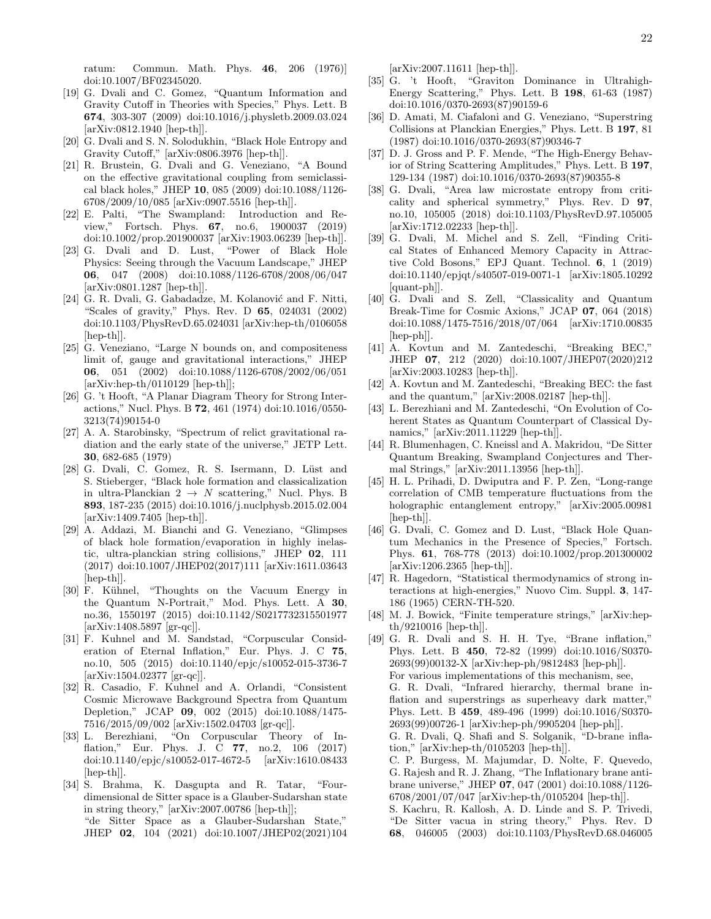ratum: Commun. Math. Phys. 46, 206 (1976)] doi:10.1007/BF02345020.

- <span id="page-21-1"></span>[19] G. Dvali and C. Gomez, "Quantum Information and Gravity Cutoff in Theories with Species," Phys. Lett. B 674, 303-307 (2009) doi:10.1016/j.physletb.2009.03.024 [arXiv:0812.1940 [hep-th]].
- [20] G. Dvali and S. N. Solodukhin, "Black Hole Entropy and Gravity Cutoff," [arXiv:0806.3976 [hep-th]].
- <span id="page-21-6"></span>[21] R. Brustein, G. Dvali and G. Veneziano, "A Bound on the effective gravitational coupling from semiclassical black holes," JHEP 10, 085 (2009) doi:10.1088/1126- 6708/2009/10/085 [arXiv:0907.5516 [hep-th]].
- <span id="page-21-2"></span>[22] E. Palti, "The Swampland: Introduction and Review," Fortsch. Phys. 67, no.6, 1900037 (2019) doi:10.1002/prop.201900037 [arXiv:1903.06239 [hep-th]].
- <span id="page-21-0"></span>[23] G. Dvali and D. Lust, "Power of Black Hole Physics: Seeing through the Vacuum Landscape," JHEP 06, 047 (2008) doi:10.1088/1126-6708/2008/06/047 [arXiv:0801.1287 [hep-th]].
- <span id="page-21-3"></span>[24] G. R. Dvali, G. Gabadadze, M. Kolanović and F. Nitti, "Scales of gravity," Phys. Rev. D 65, 024031 (2002) doi:10.1103/PhysRevD.65.024031 [arXiv:hep-th/0106058 [hep-th]].
- <span id="page-21-4"></span>[25] G. Veneziano, "Large N bounds on, and compositeness limit of, gauge and gravitational interactions," JHEP 06, 051 (2002) doi:10.1088/1126-6708/2002/06/051 [arXiv:hep-th/0110129 [hep-th]];
- <span id="page-21-5"></span>[26] G. 't Hooft, "A Planar Diagram Theory for Strong Interactions," Nucl. Phys. B 72, 461 (1974) doi:10.1016/0550- 3213(74)90154-0
- <span id="page-21-16"></span>[27] A. A. Starobinsky, "Spectrum of relict gravitational radiation and the early state of the universe," JETP Lett. 30, 682-685 (1979)
- <span id="page-21-12"></span>[28] G. Dvali, C. Gomez, R. S. Isermann, D. Lüst and S. Stieberger, "Black hole formation and classicalization in ultra-Planckian  $2 \rightarrow N$  scattering," Nucl. Phys. B 893, 187-235 (2015) doi:10.1016/j.nuclphysb.2015.02.004 [arXiv:1409.7405 [hep-th]].
- <span id="page-21-13"></span>[29] A. Addazi, M. Bianchi and G. Veneziano, "Glimpses of black hole formation/evaporation in highly inelastic, ultra-planckian string collisions," JHEP 02, 111 (2017) doi:10.1007/JHEP02(2017)111 [arXiv:1611.03643 [hep-th]].
- <span id="page-21-7"></span>[30] F. Kühnel, "Thoughts on the Vacuum Energy in the Quantum N-Portrait," Mod. Phys. Lett. A 30, no.36, 1550197 (2015) doi:10.1142/S0217732315501977 [arXiv:1408.5897 [gr-qc]].
- [31] F. Kuhnel and M. Sandstad, "Corpuscular Consideration of Eternal Inflation," Eur. Phys. J. C 75, no.10, 505 (2015) doi:10.1140/epjc/s10052-015-3736-7 [arXiv:1504.02377 [gr-qc]].
- [32] R. Casadio, F. Kuhnel and A. Orlandi, "Consistent Cosmic Microwave Background Spectra from Quantum Depletion," JCAP 09, 002 (2015) doi:10.1088/1475- 7516/2015/09/002 [arXiv:1502.04703 [gr-qc]].
- <span id="page-21-8"></span>[33] L. Berezhiani, "On Corpuscular Theory of Inflation," Eur. Phys. J. C 77, no.2, 106 (2017) doi:10.1140/epjc/s10052-017-4672-5 [arXiv:1610.08433 [hep-th]].
- <span id="page-21-9"></span>[34] S. Brahma, K. Dasgupta and R. Tatar, "Fourdimensional de Sitter space is a Glauber-Sudarshan state in string theory," [arXiv:2007.00786 [hep-th]]; "de Sitter Space as a Glauber-Sudarshan State," JHEP 02, 104 (2021) doi:10.1007/JHEP02(2021)104

[arXiv:2007.11611 [hep-th]].

- <span id="page-21-10"></span>[35] G. 't Hooft, "Graviton Dominance in Ultrahigh-Energy Scattering," Phys. Lett. B 198, 61-63 (1987) doi:10.1016/0370-2693(87)90159-6
- [36] D. Amati, M. Ciafaloni and G. Veneziano, "Superstring Collisions at Planckian Energies," Phys. Lett. B 197, 81 (1987) doi:10.1016/0370-2693(87)90346-7
- <span id="page-21-11"></span>[37] D. J. Gross and P. F. Mende, "The High-Energy Behavior of String Scattering Amplitudes," Phys. Lett. B 197, 129-134 (1987) doi:10.1016/0370-2693(87)90355-8
- <span id="page-21-14"></span>[38] G. Dvali, "Area law microstate entropy from criticality and spherical symmetry," Phys. Rev. D 97, no.10, 105005 (2018) doi:10.1103/PhysRevD.97.105005 [arXiv:1712.02233 [hep-th]].
- <span id="page-21-15"></span>[39] G. Dvali, M. Michel and S. Zell, "Finding Critical States of Enhanced Memory Capacity in Attractive Cold Bosons," EPJ Quant. Technol. 6, 1 (2019) doi:10.1140/epjqt/s40507-019-0071-1 [arXiv:1805.10292 [quant-ph]].
- <span id="page-21-18"></span>[40] G. Dvali and S. Zell, "Classicality and Quantum Break-Time for Cosmic Axions," JCAP 07, 064 (2018) doi:10.1088/1475-7516/2018/07/064 [arXiv:1710.00835 [hep-ph]].
- [41] A. Kovtun and M. Zantedeschi, "Breaking BEC," JHEP 07, 212 (2020) doi:10.1007/JHEP07(2020)212 [arXiv:2003.10283 [hep-th]].
- [42] A. Kovtun and M. Zantedeschi, "Breaking BEC: the fast and the quantum," [arXiv:2008.02187 [hep-th]].
- [43] L. Berezhiani and M. Zantedeschi, "On Evolution of Coherent States as Quantum Counterpart of Classical Dynamics," [arXiv:2011.11229 [hep-th]].
- <span id="page-21-19"></span>[44] R. Blumenhagen, C. Kneissl and A. Makridou, "De Sitter Quantum Breaking, Swampland Conjectures and Thermal Strings," [arXiv:2011.13956 [hep-th]].
- <span id="page-21-20"></span>[45] H. L. Prihadi, D. Dwiputra and F. P. Zen, "Long-range correlation of CMB temperature fluctuations from the holographic entanglement entropy," [arXiv:2005.00981 [hep-th]].
- <span id="page-21-17"></span>[46] G. Dvali, C. Gomez and D. Lust, "Black Hole Quantum Mechanics in the Presence of Species," Fortsch. Phys. 61, 768-778 (2013) doi:10.1002/prop.201300002 [arXiv:1206.2365 [hep-th]].
- <span id="page-21-23"></span>[47] R. Hagedorn, "Statistical thermodynamics of strong interactions at high-energies," Nuovo Cim. Suppl. 3, 147- 186 (1965) CERN-TH-520.
- <span id="page-21-22"></span>[48] M. J. Bowick, "Finite temperature strings," [arXiv:hepth/9210016 [hep-th]].
- <span id="page-21-21"></span>[49] G. R. Dvali and S. H. H. Tye, "Brane inflation," Phys. Lett. B 450, 72-82 (1999) doi:10.1016/S0370- 2693(99)00132-X [arXiv:hep-ph/9812483 [hep-ph]]. For various implementations of this mechanism, see, G. R. Dvali, "Infrared hierarchy, thermal brane inflation and superstrings as superheavy dark matter," Phys. Lett. B 459, 489-496 (1999) doi:10.1016/S0370- 2693(99)00726-1 [arXiv:hep-ph/9905204 [hep-ph]]. G. R. Dvali, Q. Shafi and S. Solganik, "D-brane inflation," [arXiv:hep-th/0105203 [hep-th]]. C. P. Burgess, M. Majumdar, D. Nolte, F. Quevedo, G. Rajesh and R. J. Zhang, "The Inflationary brane antibrane universe," JHEP 07, 047 (2001) doi:10.1088/1126- 6708/2001/07/047 [arXiv:hep-th/0105204 [hep-th]]. S. Kachru, R. Kallosh, A. D. Linde and S. P. Trivedi, "De Sitter vacua in string theory," Phys. Rev. D 68, 046005 (2003) doi:10.1103/PhysRevD.68.046005